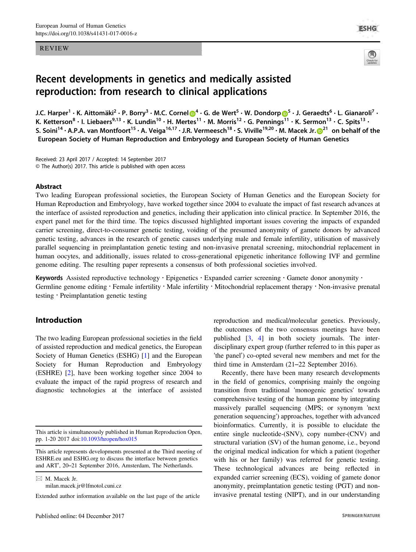#### REVIEW



# Recent developments in genetics and medically assisted reproduction: from research to clinical applications

J.C. Harper<sup>1</sup> • K. Aittomäki<sup>2</sup> • P. Borry<sup>3</sup> • M.C. Corne[l](http://orcid.org/0000-0002-5397-5544) <mark>O</mark><sup>[4](http://orcid.org/0000-0002-5397-5544)</sup> • G. de Wert<sup>[5](http://orcid.org/0000-0003-4052-7192)</sup> • W. Dondorp O<sup>5</sup> • J. Geraedts<sup>6</sup> • L. Gianaroli<sup>7</sup> • K. Ketterson<sup>8</sup> • I. Liebaers<sup>9,13</sup> • K. Lundin<sup>10</sup> • H. Mertes<sup>11</sup> • M. Morris<sup>12</sup> • G. Pennings<sup>11</sup> • K. Sermon<sup>13</sup> • C. Spits<sup>13</sup> • S. Soini<sup>14</sup> • A.P.A. van Montfoort<sup>15</sup> • A. Veiga<sup>16,17</sup> • J.R. Vermeesch<sup>18</sup> • S. Viville<sup>19,[2](http://orcid.org/0000-0002-5173-5280)0</sup> • M. Macek Jr.  $\bullet$ <sup>21</sup> on behalf of the European Society of Human Reproduction and Embryology and European Society of Human Genetics

Received: 23 April 2017 / Accepted: 14 September 2017 © The Author(s) 2017. This article is published with open access

## Abstract

Two leading European professional societies, the European Society of Human Genetics and the European Society for Human Reproduction and Embryology, have worked together since 2004 to evaluate the impact of fast research advances at the interface of assisted reproduction and genetics, including their application into clinical practice. In September 2016, the expert panel met for the third time. The topics discussed highlighted important issues covering the impacts of expanded carrier screening, direct-to-consumer genetic testing, voiding of the presumed anonymity of gamete donors by advanced genetic testing, advances in the research of genetic causes underlying male and female infertility, utilisation of massively parallel sequencing in preimplantation genetic testing and non-invasive prenatal screening, mitochondrial replacement in human oocytes, and additionally, issues related to cross-generational epigenetic inheritance following IVF and germline genome editing. The resulting paper represents a consensus of both professional societies involved.

Keywords Assisted reproductive technology · Epigenetics · Expanded carrier screening · Gamete donor anonymity · Germline genome editing  $\cdot$  Female infertility  $\cdot$  Male infertility  $\cdot$  Mitochondrial replacement therapy  $\cdot$  Non-invasive prenatal testing · Preimplantation genetic testing

# Introduction

The two leading European professional societies in the field of assisted reproduction and medical genetics, the European Society of Human Genetics (ESHG) [[1\]](#page-15-0) and the European Society for Human Reproduction and Embryology (ESHRE) [[2\]](#page-15-0), have been working together since 2004 to evaluate the impact of the rapid progress of research and diagnostic technologies at the interface of assisted

 $\boxtimes$  M. Macek Jr. [milan.macek.jr@lfmotol.cuni.cz](mailto:milan.macek.jr@lfmotol.cuni.cz) reproduction and medical/molecular genetics. Previously, the outcomes of the two consensus meetings have been published [[3](#page-15-0), [4\]](#page-15-0) in both society journals. The interdisciplinary expert group (further referred to in this paper as 'the panel') co-opted several new members and met for the third time in Amsterdam (21–22 September 2016).

Recently, there have been many research developments in the field of genomics, comprising mainly the ongoing transition from traditional 'monogenic genetics' towards comprehensive testing of the human genome by integrating massively parallel sequencing (MPS; or synonym 'next generation sequencing') approaches, together with advanced bioinformatics. Currently, it is possible to elucidate the entire single nucleotide-(SNV), copy number-(CNV) and structural variation (SV) of the human genome, i.e., beyond the original medical indication for which a patient (together with his or her family) was referred for genetic testing. These technological advances are being reflected in expanded carrier screening (ECS), voiding of gamete donor anonymity, preimplantation genetic testing (PGT) and noninvasive prenatal testing (NIPT), and in our understanding

This article is simultaneously published in Human Reproduction Open, pp. 1-20 2017 doi:[10.1093/hropen/hox015](http://dx.doi.org/10.1093/hropen/hox015)

This article represents developments presented at the Third meeting of ESHRE.eu and ESHG.org to discuss the interface between genetics and ART', 20–21 September 2016, Amsterdam, The Netherlands.

Extended author information available on the last page of the article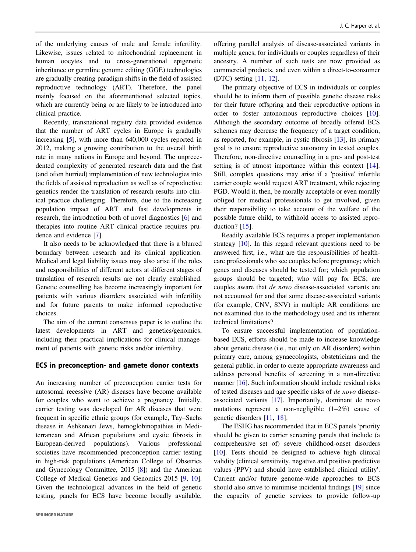of the underlying causes of male and female infertility. Likewise, issues related to mitochondrial replacement in human oocytes and to cross-generational epigenetic inheritance or germline genome editing (GGE) technologies are gradually creating paradigm shifts in the field of assisted reproductive technology (ART). Therefore, the panel mainly focused on the aforementioned selected topics, which are currently being or are likely to be introduced into clinical practice.

Recently, transnational registry data provided evidence that the number of ART cycles in Europe is gradually increasing [[5\]](#page-15-0), with more than 640,000 cycles reported in 2012, making a growing contribution to the overall birth rate in many nations in Europe and beyond. The unprecedented complexity of generated research data and the fast (and often hurried) implementation of new technologies into the fields of assisted reproduction as well as of reproductive genetics render the translation of research results into clinical practice challenging. Therefore, due to the increasing population impact of ART and fast developments in research, the introduction both of novel diagnostics [[6\]](#page-15-0) and therapies into routine ART clinical practice requires prudence and evidence [[7\]](#page-15-0).

It also needs to be acknowledged that there is a blurred boundary between research and its clinical application. Medical and legal liability issues may also arise if the roles and responsibilities of different actors at different stages of translation of research results are not clearly established. Genetic counselling has become increasingly important for patients with various disorders associated with infertility and for future parents to make informed reproductive choices.

The aim of the current consensus paper is to outline the latest developments in ART and genetics/genomics, including their practical implications for clinical management of patients with genetic risks and/or infertility.

#### ECS in preconception- and gamete donor contexts

An increasing number of preconception carrier tests for autosomal recessive (AR) diseases have become available for couples who want to achieve a pregnancy. Initially, carrier testing was developed for AR diseases that were frequent in specific ethnic groups (for example, Tay–Sachs disease in Ashkenazi Jews, hemoglobinopathies in Mediterranean and African populations and cystic fibrosis in European-derived populations). Various professional societies have recommended preconception carrier testing in high-risk populations (American College of Obsetrics and Gynecology Committee, 2015 [[8](#page-15-0)]) and the American College of Medical Genetics and Genomics 2015 [\[9](#page-15-0), [10](#page-15-0)]. Given the technological advances in the field of genetic testing, panels for ECS have become broadly available, offering parallel analysis of disease-associated variants in multiple genes, for individuals or couples regardless of their ancestry. A number of such tests are now provided as commercial products, and even within a direct-to-consumer (DTC) setting [[11,](#page-15-0) [12](#page-15-0)].

The primary objective of ECS in individuals or couples should be to inform them of possible genetic disease risks for their future offspring and their reproductive options in order to foster autonomous reproductive choices [[10\]](#page-15-0). Although the secondary outcome of broadly offered ECS schemes may decrease the frequency of a target condition, as reported, for example, in cystic fibrosis [[13\]](#page-15-0), its primary goal is to ensure reproductive autonomy in tested couples. Therefore, non-directive counselling in a pre- and post-test setting is of utmost importance within this context [[14\]](#page-15-0). Still, complex questions may arise if a 'positive' infertile carrier couple would request ART treatment, while rejecting PGD. Would it, then, be morally acceptable or even morally obliged for medical professionals to get involved, given their responsibility to take account of the welfare of the possible future child, to withhold access to assisted reproduction? [[15\]](#page-15-0).

Readily available ECS requires a proper implementation strategy [[10\]](#page-15-0). In this regard relevant questions need to be answered first, i.e., what are the responsibilities of healthcare professionals who see couples before pregnancy; which genes and diseases should be tested for; which population groups should be targeted; who will pay for ECS; are couples aware that de novo disease-associated variants are not accounted for and that some disease-associated variants (for example, CNV, SNV) in multiple AR conditions are not examined due to the methodology used and its inherent technical limitations?

To ensure successful implementation of populationbased ECS, efforts should be made to increase knowledge about genetic disease (i.e., not only on AR disorders) within primary care, among gynaecologists, obstetricians and the general public, in order to create appropriate awareness and address personal benefits of screening in a non-directive manner [[16](#page-15-0)]. Such information should include residual risks of tested diseases and age specific risks of de novo diseaseassociated variants [[17\]](#page-16-0). Importantly, dominant de novo mutations represent a non-negligible (1–2%) cause of genetic disorders [[11,](#page-15-0) [18](#page-16-0)].

The ESHG has recommended that in ECS panels 'priority should be given to carrier screening panels that include (a comprehensive set of) severe childhood-onset disorders [\[10](#page-15-0)]. Tests should be designed to achieve high clinical validity (clinical sensitivity, negative and positive predictive values (PPV) and should have established clinical utility'. Current and/or future genome-wide approaches to ECS should also strive to minimise incidental findings [\[19](#page-16-0)] since the capacity of genetic services to provide follow-up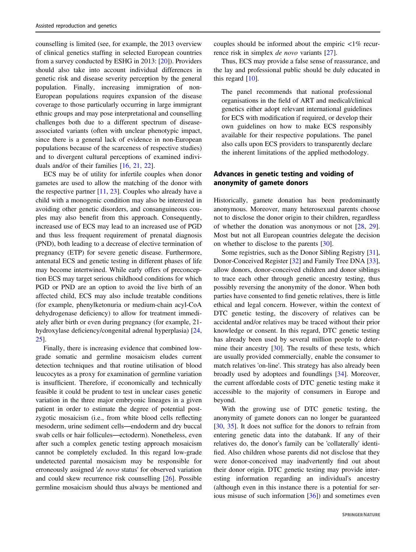counselling is limited (see, for example, the 2013 overview of clinical genetics staffing in selected European countries from a survey conducted by ESHG in 2013: [[20\]](#page-16-0)). Providers should also take into account individual differences in genetic risk and disease severity perception by the general population. Finally, increasing immigration of non-European populations requires expansion of the disease coverage to those particularly occurring in large immigrant ethnic groups and may pose interpretational and counselling challenges both due to a different spectrum of diseaseassociated variants (often with unclear phenotypic impact, since there is a general lack of evidence in non-European populations because of the scarceness of respective studies) and to divergent cultural perceptions of examined individuals and/or of their families [[16,](#page-15-0) [21,](#page-16-0) [22](#page-16-0)].

ECS may be of utility for infertile couples when donor gametes are used to allow the matching of the donor with the respective partner [\[11](#page-15-0), [23\]](#page-16-0). Couples who already have a child with a monogenic condition may also be interested in avoiding other genetic disorders, and consanguineous couples may also benefit from this approach. Consequently, increased use of ECS may lead to an increased use of PGD and thus less frequent requirement of prenatal diagnosis (PND), both leading to a decrease of elective termination of pregnancy (ETP) for severe genetic disease. Furthermore, antenatal ECS and genetic testing in different phases of life may become intertwined. While early offers of preconception ECS may target serious childhood conditions for which PGD or PND are an option to avoid the live birth of an affected child, ECS may also include treatable conditions (for example, phenylketonuria or medium-chain acyl-CoA dehydrogenase deficiency) to allow for treatment immediately after birth or even during pregnancy (for example, 21 hydroxylase deficiency/congenital adrenal hyperplasia) [[24,](#page-16-0) [25\]](#page-16-0).

Finally, there is increasing evidence that combined lowgrade somatic and germline mosaicism eludes current detection techniques and that routine utilisation of blood leucocytes as a proxy for examination of germline variation is insufficient. Therefore, if economically and technically feasible it could be prudent to test in unclear cases genetic variation in the three major embryonic lineages in a given patient in order to estimate the degree of potential postzygotic mosaicism (i.e., from white blood cells reflecting mesoderm, urine sediment cells—endoderm and dry buccal swab cells or hair follicules—ectoderm). Nonetheless, even after such a complex genetic testing approach mosaicism cannot be completely excluded. In this regard low-grade undetected parental mosaicism may be responsible for erroneously assigned 'de novo status' for observed variation and could skew recurrence risk counselling [[26\]](#page-16-0). Possible germline mosaicism should thus always be mentioned and

couples should be informed about the empiric  $\langle 1\% \text{ recur-} \rangle$ rence risk in simplex de novo variants [[27\]](#page-16-0).

Thus, ECS may provide a false sense of reassurance, and the lay and professional public should be duly educated in this regard [\[10](#page-15-0)].

The panel recommends that national professional organisations in the field of ART and medical/clinical genetics either adopt relevant international guidelines for ECS with modification if required, or develop their own guidelines on how to make ECS responsibly available for their respective populations. The panel also calls upon ECS providers to transparently declare the inherent limitations of the applied methodology.

# Advances in genetic testing and voiding of anonymity of gamete donors

Historically, gamete donation has been predominantly anonymous. Moreover, many heterosexual parents choose not to disclose the donor origin to their children, regardless of whether the donation was anonymous or not [[28,](#page-16-0) [29\]](#page-16-0). Most but not all European countries delegate the decision on whether to disclose to the parents [\[30](#page-16-0)].

Some registries, such as the Donor Sibling Registry [[31\]](#page-16-0), Donor-Conceived Register [\[32](#page-16-0)] and Family Tree DNA [[33\]](#page-16-0), allow donors, donor-conceived children and donor siblings to trace each other through genetic ancestry testing, thus possibly reversing the anonymity of the donor. When both parties have consented to find genetic relatives, there is little ethical and legal concern. However, within the context of DTC genetic testing, the discovery of relatives can be accidental and/or relatives may be traced without their prior knowledge or consent. In this regard, DTC genetic testing has already been used by several million people to deter-mine their ancestry [[30\]](#page-16-0). The results of these tests, which are usually provided commercially, enable the consumer to match relatives 'on-line'. This strategy has also already been broadly used by adoptees and foundlings [\[34](#page-16-0)]. Moreover, the current affordable costs of DTC genetic testing make it accessible to the majority of consumers in Europe and beyond.

With the growing use of DTC genetic testing, the anonymity of gamete donors can no longer be guaranteed [\[30](#page-16-0), [35](#page-16-0)]. It does not suffice for the donors to refrain from entering genetic data into the databank. If any of their relatives do, the donor's family can be 'collaterally' identified. Also children whose parents did not disclose that they were donor-conceived may inadvertently find out about their donor origin. DTC genetic testing may provide interesting information regarding an individual's ancestry (although even in this instance there is a potential for serious misuse of such information [[36\]](#page-16-0)) and sometimes even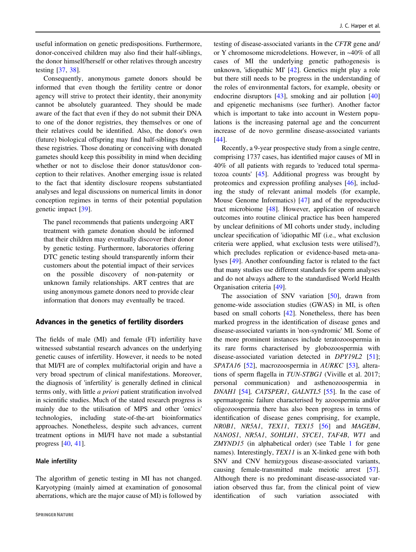useful information on genetic predispositions. Furthermore, donor-conceived children may also find their half-siblings, the donor himself/herself or other relatives through ancestry testing [[37,](#page-16-0) [38\]](#page-16-0).

Consequently, anonymous gamete donors should be informed that even though the fertility centre or donor agency will strive to protect their identity, their anonymity cannot be absolutely guaranteed. They should be made aware of the fact that even if they do not submit their DNA to one of the donor registries, they themselves or one of their relatives could be identified. Also, the donor's own (future) biological offspring may find half-siblings through these registries. Those donating or conceiving with donated gametes should keep this possibility in mind when deciding whether or not to disclose their donor status/donor conception to their relatives. Another emerging issue is related to the fact that identity disclosure reopens substantiated analyses and legal discussions on numerical limits in donor conception regimes in terms of their potential population genetic impact [\[39](#page-16-0)].

The panel recommends that patients undergoing ART treatment with gamete donation should be informed that their children may eventually discover their donor by genetic testing. Furthermore, laboratories offering DTC genetic testing should transparently inform their customers about the potential impact of their services on the possible discovery of non-paternity or unknown family relationships. ART centres that are using anonymous gamete donors need to provide clear information that donors may eventually be traced.

## Advances in the genetics of fertility disorders

The fields of male (MI) and female (FI) infertility have witnessed substantial research advances on the underlying genetic causes of infertility. However, it needs to be noted that MI/FI are of complex multifactorial origin and have a very broad spectrum of clinical manifestations. Moreover, the diagnosis of 'infertility' is generally defined in clinical terms only, with little a priori patient stratification involved in scientific studies. Much of the stated research progress is mainly due to the utilisation of MPS and other 'omics' technologies, including state-of-the-art bioinformatics approaches. Nonetheless, despite such advances, current treatment options in MI/FI have not made a substantial progress [\[40](#page-16-0), [41\]](#page-16-0).

#### Male infertility

The algorithm of genetic testing in MI has not changed. Karyotyping (mainly aimed at examination of gonosomal aberrations, which are the major cause of MI) is followed by

testing of disease-associated variants in the CFTR gene and/ or Y chromosome microdeletions. However, in ~40% of all cases of MI the underlying genetic pathogenesis is unknown, 'idiopathic MI' [\[42](#page-16-0)]. Genetics might play a role but there still needs to be progress in the understanding of the roles of environmental factors, for example, obesity or endocrine disruptors [\[43](#page-16-0)], smoking and air pollution [\[40](#page-16-0)] and epigenetic mechanisms (see further). Another factor which is important to take into account in Western populations is the increasing paternal age and the concurrent increase of de novo germline disease-associated variants [\[44](#page-16-0)].

Recently, a 9-year prospective study from a single centre, comprising 1737 cases, has identified major causes of MI in 40% of all patients with regards to 'reduced total spermatozoa counts' [\[45](#page-16-0)]. Additional progress was brought by proteomics and expression profiling analyses [[46\]](#page-16-0), including the study of relevant animal models (for example, Mouse Genome Informatics) [[47\]](#page-16-0) and of the reproductive tract microbiome [[48\]](#page-16-0). However, application of research outcomes into routine clinical practice has been hampered by unclear definitions of MI cohorts under study, including unclear specification of 'idiopathic MI' (i.e., what exclusion criteria were applied, what exclusion tests were utilised?), which precludes replication or evidence-based meta-analyses [\[49](#page-16-0)]. Another confounding factor is related to the fact that many studies use different standards for sperm analyses and do not always adhere to the standardised World Health Organisation criteria [[49\]](#page-16-0).

The association of SNV variation [[50\]](#page-16-0), drawn from genome-wide association studies (GWAS) in MI, is often based on small cohorts [\[42](#page-16-0)]. Nonetheless, there has been marked progress in the identification of disease genes and disease-associated variants in 'non-syndromic' MI. Some of the more prominent instances include teratozoospermia in its rare forms characterised by globozoospermia with disease-associated variation detected in DPY19L2 [\[51](#page-16-0)]; SPATA16 [\[52](#page-16-0)], macrozoospermia in AURKC [\[53](#page-16-0)], alterations of sperm flagella in TUN-STBG1 (Viville et al. 2017; personal communication) and asthenozoospermia in DNAH1 [\[54](#page-16-0)], CATSPER1, GALNTL5 [[55\]](#page-16-0). In the case of spermatogenic failure characterised by azoospermia and/or oligozoospermia there has also been progress in terms of identification of disease genes comprising, for example, NR0B1, NR5A1, TEX11, TEX15 [\[56](#page-16-0)] and MAGEB4, NANOS1, NR5A1, SOHLH1, SYCE1, TAF4B, WT1 and ZMYND15 (in alphabetical order) (see Table [1](#page-4-0) for gene names). Interestingly, TEX11 is an X-linked gene with both SNV and CNV hemizygous disease-associated variants, causing female-transmitted male meiotic arrest [[57\]](#page-16-0). Although there is no predominant disease-associated variation observed thus far, from the clinical point of view identification of such variation associated with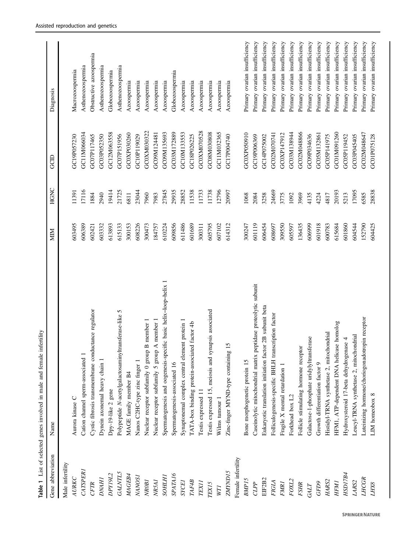<span id="page-4-0"></span>

| Gene abbreviation   | Name                                                            | <b>NIIM</b> | HGNC  | GCID        | Diagnosis                     |
|---------------------|-----------------------------------------------------------------|-------------|-------|-------------|-------------------------------|
| Male infertility    |                                                                 |             |       |             |                               |
| AURKC               | Aurora kinase C                                                 | 603495      | 11391 | GC19P057230 | Macrozoospermia               |
| <b>CATSPER1</b>     | Cation channel sperm-associated 1                               | 606389      | 17116 | GC11M066034 | Asthenozoospermia             |
| <b>CFTR</b>         | Cystic fibrosis transmembrane conductance regulator             | 602421      | 1884  | GC07P117465 | Obstructive azoospermia       |
| <b>DNAHI</b>        | Dynein axonemal heavy chain 1                                   | 603332      | 2940  | GC03P052350 | Asthenozoospermia             |
| DPY19L2             | Dpy-19-like 2 gene                                              | 613893      | 19414 | GC12M063558 | Globozoospermia               |
| <b>GALNTL5</b>      | Polypeptide N-acetylgalactosaminyltransferase-like 5            | 615133      | 21725 | GC07P151956 | Asthenozoospermia             |
| MAGEB4              | MAGE family member B4                                           | 300153      | 6811  | GC0XP030260 | Azoospermia                   |
| <b>NANOSI</b>       | Nanos C2HC-type zinc finger 1                                   | 608226      | 23044 | GC10P119029 | Azoospermia                   |
| NROBI               | B member 1<br>Nuclear receptor subfamily 0 group                | 300473      | 7960  | GC0XM030322 | Azoospermia                   |
| NR5A1               | A member<br>Nuclear receptor subfamily 5 group                  | 184757      | 7983  | GC09M124481 | Azoospermia                   |
| <b>SOHLHI</b>       | Spermatogenesis and oogenesis-specific basic helix-loop-helix 1 | 610224      | 27845 | GC09M135693 | Azoospermia                   |
| SPATA <sub>16</sub> | Spermatogenesis-associated 16                                   | 609856      | 29935 | GC03M172889 | Globozoospermia               |
| <b>SYCEI</b>        | Synaptonemal complex central element protein 1                  | 611486      | 28852 | GC10M133553 | Azoospermia                   |
| TAF4B               | TATA-box binding protein-associated factor 4b                   | 601689      | 11538 | GC18P026225 | Azoospermia                   |
| <b>TEX11</b>        | Testis expressed 1                                              | 300311      | 11733 | GC0XM070528 | Azoospermia                   |
| TEX15               | Testis expressed 15, meiosis and synapsis associated            | 605795      | 11738 | GC08M030808 | Azoospermia                   |
| WTI                 | Wilms tumour 1                                                  | 607102      | 12796 | GC11M032365 | Azoospermia                   |
| ZMYND15             | 15<br>Zinc-finger MYND-type containing                          | 614312      | 20997 | GC17P004740 | Azoospermia                   |
| Female infertility  |                                                                 |             |       |             |                               |
| BMP <sub>15</sub>   | Bone morphogenetic protein 15                                   | 300247      | 1068  | GC0XP050910 | Primary ovarian insufficiency |
| CLPP                | Caseinolytic mitochondrial matrix peptidase proteolytic subunit | 601119      | 2084  | GC19P006369 | Primary ovarian insufficiency |
| EIF2B2              | Eukaryotic translation initiation factor 2B subunit beta        | 606454      | 3258  | GC14P075002 | Primary ovarian insufficiency |
| <b>FIGLA</b>        | Folliculogenesis-specific BHLH transcription factor             | 608697      | 24669 | GC02M070741 | Primary ovarian insufficiency |
| <b>FMR1</b>         | Fragile X mental retardation 1                                  | 309550      | 3775  | GC0XP147912 | Primary ovarian insufficiency |
| FOXL2               | Forkhead box L2                                                 | 605597      | 1092  | GC03M138944 | Primary ovarian insufficiency |
| <b>FSHR</b>         | Follicle stimulating hormone receptor                           | 136435      | 3969  | GC02M048866 | Primary ovarian insufficiency |
| GALT                | Galactose-1-phosphate uridylyltransferase                       | 606999      | 4135  | GC09P034636 | Primary ovarian insufficiency |
| $GFD9$              | Growth differentiation factor 9                                 | 601918      | 4224  | GC05M132861 | Primary ovarian insufficiency |
| HARS <sub>2</sub>   | Histidyl-TRNA synthetase 2, mitochondrial                       | 600783      | 4817  | GC05P141975 | Primary ovarian insufficiency |
| <b>HFM1</b>         | HFM1, ATP-dependent DNA helicase homolog                        | 615684      | 20193 | GC01M091260 | Primary ovarian insufficiency |
| <b>HSD17B4</b>      | Hydroxysteroid 17-beta dehydrogenase 4                          | 601860      | 5213  | GC05P119452 | Primary ovarian insufficiency |
| LARS2               | Leucyl-TRNA synthetase 2, mitochondrial                         | 604544      | 17095 | GC03P045405 | Primary ovarian insufficiency |
| LHCGR               | Luteinizing hormone/choriogonadotropin receptor                 | 152790      | 6585  | GC02M048647 | Primary ovarian insufficiency |
| LHX8                | LIM homeobox 8                                                  | 604425      | 28838 | GC01P075128 | Primary ovarian insufficiency |
|                     |                                                                 |             |       |             |                               |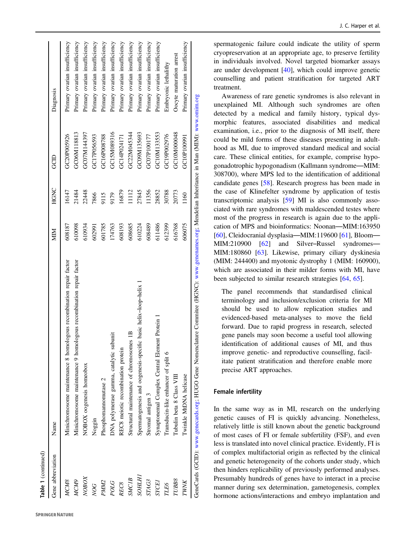| Table 1 (continued) |                                                                                                                                                  |        |       |             |                               |
|---------------------|--------------------------------------------------------------------------------------------------------------------------------------------------|--------|-------|-------------|-------------------------------|
| Gene abbreviation   | Name                                                                                                                                             | MIM    | HGNC  | GCID        | Diagnosis                     |
| <b>MCM8</b>         | Minichromosome maintenance 8 homologous recombination repair factor                                                                              | 608187 | 16147 | GC20P005926 | Primary ovarian insufficiency |
| MCM9                | Minichromosome maintenance 9 homologous recombination repair factor                                                                              | 610098 | 21484 | GC06M118813 | Primary ovarian insufficiency |
| NOBOX               | NOBOX oogenesis homeobox                                                                                                                         | 610934 | 22448 | GC07M144397 | Primary ovarian insufficiency |
| <b>NOG</b>          | Noggin                                                                                                                                           | 602991 | 7866  | GC17P056593 | Primary ovarian insufficiency |
| PMM2                | Phosphomannomutase 2                                                                                                                             | 601785 | 9115  | GC16P008788 | Primary ovarian insufficiency |
| POLG                | subunit<br>DNA polymerase gamma, catalytic                                                                                                       | 174763 | 9179  | GC15M089316 | Primary ovarian insufficiency |
| REC8                | REC8 meiotic recombination protein                                                                                                               | 608193 | 16879 | GC14P024171 | Primary ovarian insufficiency |
| <b>SMC1B</b>        | Structural maintenance of chromosomes 1B                                                                                                         | 608685 | 1112  | GC22M045344 | Primary ovarian insufficiency |
| <i><b>SOHLH</b></i> | Spermatogenesis and oogenesis-specific basic helix-loop-helix                                                                                    | 610224 | 27845 | GC09M135693 | Primary ovarian insufficiency |
| <i>STAG3</i>        | Stromal antigen 3                                                                                                                                | 608489 | 11356 | GC07P100177 | Primary ovarian insufficiency |
| <b>SYCE</b>         | Synaptonemal Complex Central Element Protein                                                                                                     | 611486 | 28852 | GC10M133553 | Primary ovarian insufficiency |
| TLE6                | Transducin-like enhancer of split 6                                                                                                              | 612399 | 30788 | GC19P002976 | Embryonic lethalithy          |
| TUBB8               | Tubulin beta 8 Class VIII                                                                                                                        | 616768 | 20773 | GC10M000048 | Oocyte maturation arrest      |
| TWNK                | Twinkle MtDNA helicase                                                                                                                           | 606075 | 1160  | GC10P100991 | Primary ovarian insufficiency |
|                     | GeneCards (GCID): www.genecards.org; HUGO Gene Nomenclature Commitee (HGNC): www.genenames.org; Mendelian Inheritance in Man (MIM): www.omim.org |        |       |             |                               |

spermatogenic failure could indicate the utility of sperm cryopreservation at an appropriate age, to preserve fertility in individuals involved. Novel targeted biomarker assays are under development [\[40](#page-16-0)], which could improve genetic counselling and patient strati fication for targeted ART treatment.

Awareness of rare genetic syndromes is also relevant in unexplained MI. Although such syndromes are often detected by a medical and family history, typical dysmorphic features, associated disabilities and medical examination, i.e., prior to the diagnosis of MI itself, there could be mild forms of these diseases presenting in adulthood as MI, due to improved standard medical and social care. These clinical entities, for example, comprise hypogonadotrophic hypogonadism (Kallmann syndrome—MIM: 308700), where MPS led to the identi fication of additional candidate genes [[58\]](#page-16-0). Research progress has been made in the case of Klinefelter syndrome by application of testis transcriptomic analysis [\[59](#page-17-0)] MI is also commonly associated with rare syndromes with maldescended testes where most of the progress in research is again due to the application of MPS and bioinformatics: Noonan—MIM:163950 [\[60](#page-17-0)], Cleidocranial dysplasia—MIM:119600 [\[61](#page-17-0)], Bloom— MIM:210900 [\[62](#page-17-0)] and Silver–Russel syndromes — MIM:180860 [[63\]](#page-17-0). Likewise, primary ciliary dyskinesia (MIM: 244400) and myotonic dystrophy 1 (MIM: 160900), which are associated in their milder forms with MI, have been subjected to similar research strategies [\[64](#page-17-0) , [65\]](#page-17-0).

The panel recommends that standardised clinical terminology and inclusion/exclusion criteria for MI should be used to allow replication studies and evidenced-based meta-analyses to move the field forward. Due to rapid progress in research, selected gene panels may soon become a useful tool allowing identi fication of additional causes of MI, and thus improve genetic- and reproductive counselling, facilitate patient stratification and therefore enable more precise ART approaches.

#### Female infertility

In the same way as in MI, research on the underlying genetic causes of FI is quickly advancing. Nonetheless, relatively little is still known about the genetic background of most cases of FI or female subfertility (FSF), and even less is translated into novel clinical practice. Evidently, FI is of complex multifactorial origin as re flected by the clinical and genetic heterogeneity of the cohorts under study, which then hinders replicability of previously performed analyses. Presumably hundreds of genes have to interact in a precise manner during sex determination, gametogenesis, complex hormone actions/interactions and embryo implantation and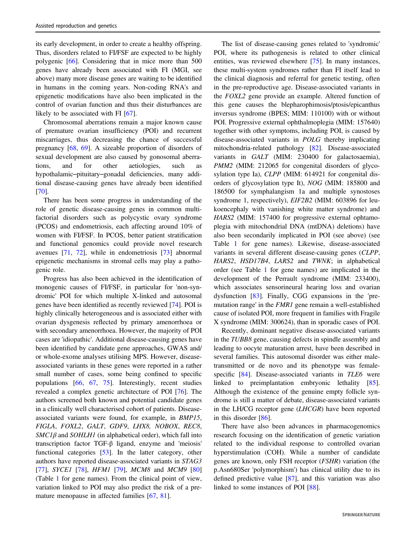its early development, in order to create a healthy offspring. Thus, disorders related to FI/FSF are expected to be highly polygenic [\[66](#page-17-0)]. Considering that in mice more than 500 genes have already been associated with FI (MGI, see above) many more disease genes are waiting to be identified in humans in the coming years. Non-coding RNA's and epigenetic modifications have also been implicated in the control of ovarian function and thus their disturbances are likely to be associated with FI [[67\]](#page-17-0).

Chromosomal aberrations remain a major known cause of premature ovarian insufficiency (POI) and recurrent miscarriages, thus decreasing the chance of successful pregnancy [[68,](#page-17-0) [69](#page-17-0)]. A sizeable proportion of disorders of sexual development are also caused by gonosomal aberrations, and for other aetiologies, such as hypothalamic–pituitary–gonadal deficiencies, many additional disease-causing genes have already been identified [\[70](#page-17-0)].

There has been some progress in understanding of the role of genetic disease-causing genes in common multifactorial disorders such as polycystic ovary syndrome (PCOS) and endometriosis, each affecting around 10% of women with FI/FSF. In PCOS, better patient stratification and functional genomics could provide novel research avenues [\[71](#page-17-0), [72\]](#page-17-0), while in endometriosis [\[73](#page-17-0)] abnormal epigenetic mechanisms in stromal cells may play a pathogenic role.

Progress has also been achieved in the identification of monogenic causes of FI/FSF, in particular for 'non-syndromic' POI for which multiple X-linked and autosomal genes have been identified as recently reviewed [[74\]](#page-17-0). POI is highly clinically heterogeneous and is associated either with ovarian dysgenesis reflected by primary amenorrhoea or with secondary amenorrhoea. However, the majority of POI cases are 'idiopathic'. Additional disease-causing genes have been identified by candidate gene approaches, GWAS and/ or whole-exome analyses utilising MPS. However, diseaseassociated variants in these genes were reported in a rather small number of cases, some being confined to specific populations [[66,](#page-17-0) [67,](#page-17-0) [75\]](#page-17-0). Interestingly, recent studies revealed a complex genetic architecture of POI [[76\]](#page-17-0). The authors screened both known and potential candidate genes in a clinically well characterised cohort of patients. Diseaseassociated variants were found, for example, in BMP15, FIGLA, FOXL2, GALT, GDF9, LHX8, NOBOX, REC8,  $SMCI\beta$  and  $SOHLHI$  (in alphabetical order), which fall into transcription factor TGF-β ligand, enzyme and 'meiosis' functional categories [\[53](#page-16-0)]. In the latter category, other authors have reported disease-associated variants in STAG3 [\[77](#page-17-0)], SYCE1 [\[78](#page-17-0)], HFM1 [[79\]](#page-17-0), MCM8 and MCM9 [[80\]](#page-17-0) (Table [1](#page-4-0) for gene names). From the clinical point of view, variation linked to POI may also predict the risk of a premature menopause in affected families [[67,](#page-17-0) [81](#page-17-0)].

The list of disease-causing genes related to 'syndromic' POI, where its pathogenesis is related to other clinical entities, was reviewed elsewhere [\[75](#page-17-0)]. In many instances, these multi-system syndromes rather than FI itself lead to the clinical diagnosis and referral for genetic testing, often in the pre-reproductive age. Disease-associated variants in the FOXL2 gene provide an example. Altered function of this gene causes the blepharophimosis/ptosis/epicanthus inversus syndrome (BPES; MIM: 110100) with or without POI. Progressive external ophthalmoplegia (MIM: 157640) together with other symptoms, including POI, is caused by disease-associated variants in POLG thereby implicating mitochondria-related pathology [[82\]](#page-17-0). Disease-associated variants in GALT (MIM: 230400 for galactosaemia), PMM2 (MIM: 212065 for congenital disorders of glycosylation type Ia), CLPP (MIM: 614921 for congenital disorders of glycosylation type It), NOG (MIM: 185800 and 186500 for symphalangism 1a and multiple synostoses syndrome 1, respectively), EIF2B2 (MIM: 603896 for leukoencephaly with vanishing white matter syndrome) and HARS2 (MIM: 157400 for progressive external ophtamoplegia with mitochondrial DNA (mtDNA) deletions) have also been secondarily implicated in POI (see above) (see Table [1](#page-4-0) for gene names). Likewise, disease-associated variants in several different disease-causing genes (CLPP, HARS2, HSD17B4, LARS2 and TWNK; in alphabetical order (see Table [1](#page-4-0) for gene names) are implicated in the development of the Perrault syndrome (MIM: 233400), which associates sensorineural hearing loss and ovarian dysfunction [[83\]](#page-17-0). Finally, CGG expansions in the 'premutation range' in the FMR1 gene remain a well-established cause of isolated POI, more frequent in families with Fragile X syndrome (MIM: 300624), than in sporadic cases of POI.

Recently, dominant negative disease-associated variants in the TUBB8 gene, causing defects in spindle assembly and leading to oocyte maturation arrest, have been described in several families. This autosomal disorder was either maletransmitted or de novo and its phenotype was female-specific [\[84](#page-17-0)]. Disease-associated variants in TLE6 were linked to preimplantation embryonic lethality [[85\]](#page-17-0). Although the existence of the genuine empty follicle syndrome is still a matter of debate, disease-associated variants in the LH/CG receptor gene (LHCGR) have been reported in this disorder [[86\]](#page-17-0).

There have also been advances in pharmacogenomics research focusing on the identification of genetic variation related to the individual response to controlled ovarian hyperstimulation (COH). While a number of candidate genes are known, only FSH receptor (FSHR) variation (the p.Asn680Ser 'polymorphism') has clinical utility due to its defined predictive value [\[87](#page-17-0)], and this variation was also linked to some instances of POI [[88\]](#page-17-0).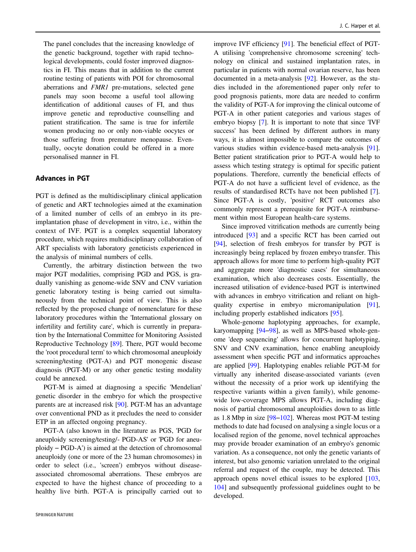The panel concludes that the increasing knowledge of the genetic background, together with rapid technological developments, could foster improved diagnostics in FI. This means that in addition to the current routine testing of patients with POI for chromosomal aberrations and FMR1 pre-mutations, selected gene panels may soon become a useful tool allowing identification of additional causes of FI, and thus improve genetic and reproductive counselling and patient stratification. The same is true for infertile women producing no or only non-viable oocytes or those suffering from premature menopause. Eventually, oocyte donation could be offered in a more personalised manner in FI.

## Advances in PGT

PGT is defined as the multidisciplinary clinical application of genetic and ART technologies aimed at the examination of a limited number of cells of an embryo in its preimplantation phase of development in vitro, i.e., within the context of IVF. PGT is a complex sequential laboratory procedure, which requires multidisciplinary collaboration of ART specialists with laboratory geneticists experienced in the analysis of minimal numbers of cells.

Currently, the arbitrary distinction between the two major PGT modalities, comprising PGD and PGS, is gradually vanishing as genome-wide SNV and CNV variation genetic laboratory testing is being carried out simultaneously from the technical point of view. This is also reflected by the proposed change of nomenclature for these laboratory procedures within the 'International glossary on infertility and fertility care', which is currently in preparation by the International Committee for Monitoring Assisted Reproductive Technology [\[89](#page-17-0)]. There, PGT would become the 'root procedural term' to which chromosomal aneuploidy screening/testing (PGT-A) and PGT monogenic disease diagnosis (PGT-M) or any other genetic testing modality could be annexed.

PGT-M is aimed at diagnosing a specific 'Mendelian' genetic disorder in the embryo for which the prospective parents are at increased risk [\[90](#page-17-0)]. PGT-M has an advantage over conventional PND as it precludes the need to consider ETP in an affected ongoing pregnancy.

PGT-A (also known in the literature as PGS, 'PGD for aneuploidy screening/testing/- PGD-AS' or 'PGD for aneuploidy – PGD-A') is aimed at the detection of chromosomal aneuploidy (one or more of the 23 human chromosomes) in order to select (i.e., 'screen') embryos without diseaseassociated chromosomal aberrations. These embryos are expected to have the highest chance of proceeding to a healthy live birth. PGT-A is principally carried out to

improve IVF efficiency [[91\]](#page-17-0). The beneficial effect of PGT-A utilising 'comprehensive chromosome screening' technology on clinical and sustained implantation rates, in particular in patients with normal ovarian reserve, has been documented in a meta-analysis [\[92](#page-17-0)]. However, as the studies included in the aforementioned paper only refer to good prognosis patients, more data are needed to confirm the validity of PGT-A for improving the clinical outcome of PGT-A in other patient categories and various stages of embryo biopsy [[7\]](#page-15-0). It is important to note that since 'IVF success' has been defined by different authors in many ways, it is almost impossible to compare the outcomes of various studies within evidence-based meta-analysis [[91\]](#page-17-0). Better patient stratification prior to PGT-A would help to assess which testing strategy is optimal for specific patient populations. Therefore, currently the beneficial effects of PGT-A do not have a sufficient level of evidence, as the results of standardised RCTs have not been published [[7\]](#page-15-0). Since PGT-A is costly, 'positive' RCT outcomes also commonly represent a prerequisite for PGT-A reimbursement within most European health-care systems.

Since improved vitrification methods are currently being introduced [\[93](#page-17-0)] and a specific RCT has been carried out [\[94](#page-17-0)], selection of fresh embryos for transfer by PGT is increasingly being replaced by frozen embryo transfer. This approach allows for more time to perform high-quality PGT and aggregate more 'diagnostic cases' for simultaneous examination, which also decreases costs. Essentially, the increased utilisation of evidence-based PGT is intertwined with advances in embryo vitrification and reliant on highquality expertise in embryo micromanipulation [[91\]](#page-17-0), including properly established indicators [\[95](#page-17-0)].

Whole-genome haplotyping approaches, for example, karyomapping [\[94](#page-17-0)–[98](#page-17-0)], as well as MPS-based whole-genome 'deep sequencing' allows for concurrent haplotyping, SNV and CNV examination, hence enabling aneuploidy assessment when specific PGT and informatics approaches are applied [\[99](#page-18-0)]. Haplotyping enables reliable PGT-M for virtually any inherited disease-associated variants (even without the necessity of a prior work up identifying the respective variants within a given family), while genomewide low-coverage MPS allows PGT-A, including diagnosis of partial chromosomal aneuploidies down to as little as 1.8 Mbp in size [[98](#page-17-0)–[102\]](#page-18-0). Whereas most PGT-M testing methods to date had focused on analysing a single locus or a localised region of the genome, novel technical approaches may provide broader examination of an embryo's genomic variation. As a consequence, not only the genetic variants of interest, but also genomic variation unrelated to the original referral and request of the couple, may be detected. This approach opens novel ethical issues to be explored [[103,](#page-18-0) [104](#page-18-0)] and subsequently professional guidelines ought to be developed.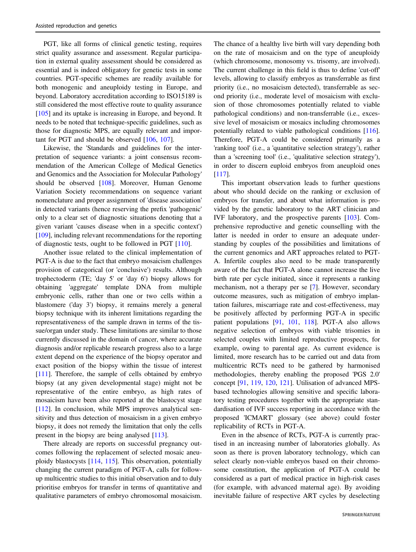PGT, like all forms of clinical genetic testing, requires strict quality assurance and assessment. Regular participation in external quality assessment should be considered as essential and is indeed obligatory for genetic tests in some countries. PGT-specific schemes are readily available for both monogenic and aneuploidy testing in Europe, and beyond. Laboratory accreditation according to ISO15189 is still considered the most effective route to quality assurance [\[105](#page-18-0)] and its uptake is increasing in Europe, and beyond. It needs to be noted that technique-specific guidelines, such as those for diagnostic MPS, are equally relevant and important for PGT and should be observed [\[106](#page-18-0), [107](#page-18-0)].

Likewise, the 'Standards and guidelines for the interpretation of sequence variants: a joint consensus recommendation of the American College of Medical Genetics and Genomics and the Association for Molecular Pathology' should be observed [[108\]](#page-18-0). Moreover, Human Genome Variation Society recommendations on sequence variant nomenclature and proper assignment of 'disease association' in detected variants (hence reserving the prefix 'pathogenic' only to a clear set of diagnostic situations denoting that a given variant 'causes disease when in a specific context') [\[109](#page-18-0)], including relevant recommendations for the reporting of diagnostic tests, ought to be followed in PGT [\[110](#page-18-0)].

Another issue related to the clinical implementation of PGT-A is due to the fact that embryo mosaicism challenges provision of categorical (or 'conclusive') results. Although trophectoderm (TE; 'day 5' or 'day 6') biopsy allows for obtaining 'aggregate' template DNA from multiple embryonic cells, rather than one or two cells within a blastomere ('day 3') biopsy, it remains merely a general biopsy technique with its inherent limitations regarding the representativeness of the sample drawn in terms of the tissue/organ under study. These limitations are similar to those currently discussed in the domain of cancer, where accurate diagnosis and/or replicable research progress also to a large extent depend on the experience of the biopsy operator and exact position of the biopsy within the tissue of interest [\[111](#page-18-0)]. Therefore, the sample of cells obtained by embryo biopsy (at any given developmental stage) might not be representative of the entire embryo, as high rates of mosaicism have been also reported at the blastocyst stage [\[112](#page-18-0)]. In conclusion, while MPS improves analytical sensitivity and thus detection of mosaicism in a given embryo biopsy, it does not remedy the limitation that only the cells present in the biopsy are being analysed [[113\]](#page-18-0).

There already are reports on successful pregnancy outcomes following the replacement of selected mosaic aneuploidy blastocysts [\[114](#page-18-0), [115](#page-18-0)]. This observation, potentially changing the current paradigm of PGT-A, calls for followup multicentric studies to this initial observation and to duly prioritise embryos for transfer in terms of quantitative and qualitative parameters of embryo chromosomal mosaicism.

The chance of a healthy live birth will vary depending both on the rate of mosaicism and on the type of aneuploidy (which chromosome, monosomy vs. trisomy, are involved). The current challenge in this field is thus to define 'cut-off' levels, allowing to classify embryos as transferrable as first priority (i.e., no mosaicism detected), transferrable as second priority (i.e., moderate level of mosaicism with exclusion of those chromosomes potentially related to viable pathological conditions) and non-transferrable (i.e., excessive level of mosaicism or mosaics including chromosomes potentially related to viable pathological conditions [[116\]](#page-18-0). Therefore, PGT-A could be considered primarily as a 'ranking tool' (i.e., a 'quantitative selection strategy'), rather than a 'screening tool' (i.e., 'qualitative selection strategy'), in order to discern euploid embryos from aneuploid ones [\[117](#page-18-0)].

This important observation leads to further questions about who should decide on the ranking or exclusion of embryos for transfer, and about what information is provided by the genetic laboratory to the ART clinician and IVF laboratory, and the prospective parents [\[103](#page-18-0)]. Comprehensive reproductive and genetic counselling with the latter is needed in order to ensure an adequate understanding by couples of the possibilities and limitations of the current genomics and ART approaches related to PGT-A. Infertile couples also need to be made transparently aware of the fact that PGT-A alone cannot increase the live birth rate per cycle initiated, since it represents a ranking mechanism, not a therapy per se [\[7](#page-15-0)]. However, secondary outcome measures, such as mitigation of embryo implantation failures, miscarriage rate and cost-effectiveness, may be positively affected by performing PGT-A in specific patient populations [[91,](#page-17-0) [101](#page-18-0), [118](#page-18-0)]. PGT-A also allows negative selection of embryos with viable trisomies in selected couples with limited reproductive prospects, for example, owing to parental age. As current evidence is limited, more research has to be carried out and data from multicentric RCTs need to be gathered by harmonised methodologies, thereby enabling the proposed 'PGS 2.0' concept [\[91](#page-17-0), [119](#page-18-0), [120,](#page-18-0) [121](#page-18-0)]. Utilisation of advanced MPSbased technologies allowing sensitive and specific laboratory testing procedures together with the appropriate standardisation of IVF success reporting in accordance with the proposed 'ICMART' glossary (see above) could foster replicability of RCTs in PGT-A.

Even in the absence of RCTs, PGT-A is currently practised in an increasing number of laboratories globally. As soon as there is proven laboratory technology, which can select clearly non-viable embryos based on their chromosome constitution, the application of PGT-A could be considered as a part of medical practice in high-risk cases (for example, with advanced maternal age). By avoiding inevitable failure of respective ART cycles by deselecting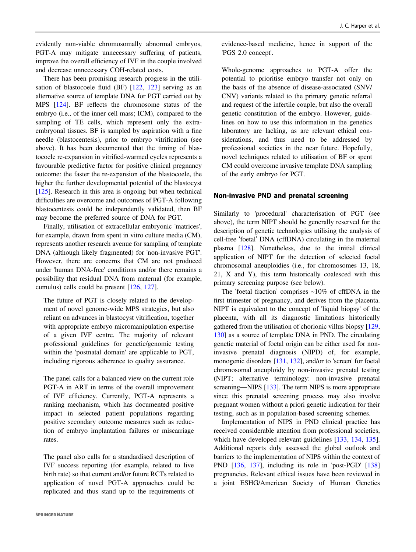evidently non-viable chromosomally abnormal embryos, PGT-A may mitigate unnecessary suffering of patients, improve the overall efficiency of IVF in the couple involved and decrease unnecessary COH-related costs.

There has been promising research progress in the utilisation of blastocoele fluid (BF) [\[122](#page-18-0), [123](#page-18-0)] serving as an alternative source of template DNA for PGT carried out by MPS [\[124](#page-18-0)]. BF reflects the chromosome status of the embryo (i.e., of the inner cell mass; ICM), compared to the sampling of TE cells, which represent only the extraembryonal tissues. BF is sampled by aspiration with a fine needle (blastocentesis), prior to embryo vitrification (see above). It has been documented that the timing of blastocoele re-expansion in vitrified-warmed cycles represents a favourable predictive factor for positive clinical pregnancy outcome: the faster the re-expansion of the blastocoele, the higher the further developmental potential of the blastocyst [\[125](#page-18-0)]. Research in this area is ongoing but when technical difficulties are overcome and outcomes of PGT-A following blastocentesis could be independently validated, then BF may become the preferred source of DNA for PGT.

Finally, utilisation of extracellular embryonic 'matrices', for example, drawn from spent in vitro culture media (CM), represents another research avenue for sampling of template DNA (although likely fragmented) for 'non-invasive PGT'. However, there are concerns that CM are not produced under 'human DNA-free' conditions and/or there remains a possibility that residual DNA from maternal (for example, cumulus) cells could be present [[126,](#page-18-0) [127](#page-18-0)].

The future of PGT is closely related to the development of novel genome-wide MPS strategies, but also reliant on advances in blastocyst vitrification, together with appropriate embryo micromanipulation expertise of a given IVF centre. The majority of relevant professional guidelines for genetic/genomic testing within the 'postnatal domain' are applicable to PGT, including rigorous adherence to quality assurance.

The panel calls for a balanced view on the current role PGT-A in ART in terms of the overall improvement of IVF efficiency. Currently, PGT-A represents a ranking mechanism, which has documented positive impact in selected patient populations regarding positive secondary outcome measures such as reduction of embryo implantation failures or miscarriage rates.

The panel also calls for a standardised description of IVF success reporting (for example, related to live birth rate) so that current and/or future RCTs related to application of novel PGT-A approaches could be replicated and thus stand up to the requirements of evidence-based medicine, hence in support of the 'PGS 2.0 concept'.

Whole-genome approaches to PGT-A offer the potential to prioritise embryo transfer not only on the basis of the absence of disease-associated (SNV/ CNV) variants related to the primary genetic referral and request of the infertile couple, but also the overall genetic constitution of the embryo. However, guidelines on how to use this information in the genetics laboratory are lacking, as are relevant ethical considerations, and thus need to be addressed by professional societies in the near future. Hopefully, novel techniques related to utilisation of BF or spent CM could overcome invasive template DNA sampling of the early embryo for PGT.

#### Non-invasive PND and prenatal screening

Similarly to 'procedural' characterisation of PGT (see above), the term NIPT should be generally reserved for the description of genetic technologies utilising the analysis of cell-free 'foetal' DNA (cffDNA) circulating in the maternal plasma [\[128](#page-18-0)]. Nonetheless, due to the initial clinical application of NIPT for the detection of selected foetal chromosomal aneuploidies (i.e., for chromosomes 13, 18, 21, X and Y), this term historically coalesced with this primary screening purpose (see below).

The 'foetal fraction' comprises  $\sim 10\%$  of cffDNA in the first trimester of pregnancy, and derives from the placenta. NIPT is equivalent to the concept of 'liquid biopsy' of the placenta, with all its diagnostic limitations historically gathered from the utilisation of chorionic villus biopsy [[129,](#page-18-0) [130](#page-18-0)] as a source of template DNA in PND. The circulating genetic material of foetal origin can be either used for noninvasive prenatal diagnosis (NIPD) of, for example, monogenic disorders [[131,](#page-18-0) [132\]](#page-18-0), and/or to 'screen' for foetal chromosomal aneuploidy by non-invasive prenatal testing (NIPT; alternative terminology: non-invasive prenatal screening—NIPS [\[133](#page-18-0)]. The term NIPS is more appropriate since this prenatal screening process may also involve pregnant women without a priori genetic indication for their testing, such as in population-based screening schemes.

Implementation of NIPS in PND clinical practice has received considerable attention from professional societies, which have developed relevant guidelines [[133,](#page-18-0) [134,](#page-18-0) [135\]](#page-18-0). Additional reports duly assessed the global outlook and barriers to the implementation of NIPS within the context of PND [[136,](#page-18-0) [137](#page-18-0)], including its role in 'post-PGD' [\[138](#page-18-0)] pregnancies. Relevant ethical issues have been reviewed in a joint ESHG/American Society of Human Genetics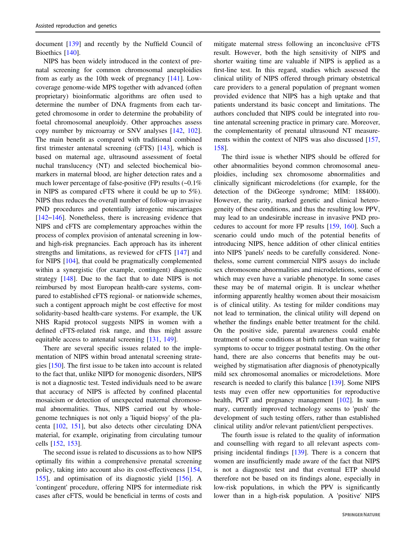document [[139\]](#page-19-0) and recently by the Nuffield Council of Bioethics [[140\]](#page-19-0).

NIPS has been widely introduced in the context of prenatal screening for common chromosomal aneuploidies from as early as the 10th week of pregnancy [\[141](#page-19-0)]. Lowcoverage genome-wide MPS together with advanced (often proprietary) bioinformatic algorithms are often used to determine the number of DNA fragments from each targeted chromosome in order to determine the probability of foetal chromosomal aneuploidy. Other approaches assess copy number by microarray or SNV analyses [[142,](#page-19-0) [102](#page-18-0)]. The main benefit as compared with traditional combined first trimester antenatal screening (cFTS) [[143](#page-19-0)], which is based on maternal age, ultrasound assessment of foetal nuchal translucency (NT) and selected biochemical biomarkers in maternal blood, are higher detection rates and a much lower percentage of false-positive (FP) results (~0.1% in NIPS as compared cFTS where it could be up to 5%). NIPS thus reduces the overall number of follow-up invasive PND procedures and potentially iatrogenic miscarriages [\[142](#page-19-0)–[146](#page-19-0)]. Nonetheless, there is increasing evidence that NIPS and cFTS are complementary approaches within the process of complex provision of antenatal screening in lowand high-risk pregnancies. Each approach has its inherent strengths and limitations, as reviewed for cFTS [[147\]](#page-19-0) and for NIPS [[104\]](#page-18-0), that could be pragmatically complemented within a synergistic (for example, contingent) diagnostic strategy [\[148](#page-19-0)]. Due to the fact that to date NIPS is not reimbursed by most European health-care systems, compared to established cFTS regional- or nationwide schemes, such a contigent approach might be cost effective for most solidarity-based health-care systems. For example, the UK NHS Rapid protocol suggests NIPS in women with a defined cFTS-related risk range, and thus might assure equitable access to antenatal screening [\[131](#page-18-0), [149](#page-19-0)].

There are several specific issues related to the implementation of NIPS within broad antenatal screening strategies [[150\]](#page-19-0). The first issue to be taken into account is related to the fact that, unlike NIPD for monogenic disorders, NIPS is not a diagnostic test. Tested individuals need to be aware that accuracy of NIPS is affected by confined placental mosaicism or detection of unexpected maternal chromosomal abnormalities. Thus, NIPS carried out by wholegenome techniques is not only a 'liquid biopsy' of the placenta [[102,](#page-18-0) [151\]](#page-19-0), but also detects other circulating DNA material, for example, originating from circulating tumour cells [[152,](#page-19-0) [153](#page-19-0)].

The second issue is related to discussions as to how NIPS optimally fits within a comprehensive prenatal screening policy, taking into account also its cost-effectiveness [[154,](#page-19-0) [155\]](#page-19-0), and optimisation of its diagnostic yield [[156\]](#page-19-0). A 'contingent' procedure, offering NIPS for intermediate risk cases after cFTS, would be beneficial in terms of costs and

mitigate maternal stress following an inconclusive cFTS result. However, both the high sensitivity of NIPS and shorter waiting time are valuable if NIPS is applied as a first-line test. In this regard, studies which assessed the clinical utility of NIPS offered through primary obstetrical care providers to a general population of pregnant women provided evidence that NIPS has a high uptake and that patients understand its basic concept and limitations. The authors concluded that NIPS could be integrated into routine antenatal screening practice in primary care. Moreover, the complementarity of prenatal ultrasound NT measure-ments within the context of NIPS was also discussed [[157,](#page-19-0) [158](#page-19-0)].

The third issue is whether NIPS should be offered for other abnormalities beyond common chromosomal aneuploidies, including sex chromosome abnormalities and clinically significant microdeletions (for example, for the detection of the DiGeorge syndrome; MIM: 188400). However, the rarity, marked genetic and clinical heterogeneity of these conditions, and thus the resulting low PPV, may lead to an undesirable increase in invasive PND procedures to account for more FP results [\[159](#page-19-0), [160](#page-19-0)]. Such a scenario could undo much of the potential benefits of introducing NIPS, hence addition of other clinical entities into NIPS 'panels' needs to be carefully considered. Nonetheless, some current commercial NIPS assays do include sex chromosome abnormalities and microdeletions, some of which may even have a variable phenotype. In some cases these may be of maternal origin. It is unclear whether informing apparently healthy women about their mosaicism is of clinical utility. As testing for milder conditions may not lead to termination, the clinical utility will depend on whether the findings enable better treatment for the child. On the positive side, parental awareness could enable treatment of some conditions at birth rather than waiting for symptoms to occur to trigger postnatal testing. On the other hand, there are also concerns that benefits may be outweighed by stigmatisation after diagnosis of phenotypically mild sex chromosomal anomalies or microdeletions. More research is needed to clarify this balance [[139\]](#page-19-0). Some NIPS tests may even offer new opportunities for reproductive health, PGT and pregnancy management [[102\]](#page-18-0). In summary, currently improved technology seems to 'push' the development of such testing offers, rather than established clinical utility and/or relevant patient/client perspectives.

The fourth issue is related to the quality of information and counselling with regard to all relevant aspects comprising incidental findings [\[139](#page-19-0)]. There is a concern that women are insufficiently made aware of the fact that NIPS is not a diagnostic test and that eventual ETP should therefore not be based on its findings alone, especially in low-risk populations, in which the PPV is significantly lower than in a high-risk population. A 'positive' NIPS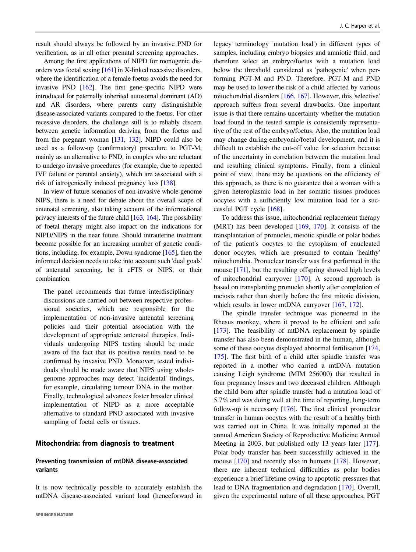result should always be followed by an invasive PND for verification, as in all other prenatal screening approaches.

Among the first applications of NIPD for monogenic disorders was foetal sexing [[161](#page-19-0)] in X-linked recessive disorders, where the identification of a female foetus avoids the need for invasive PND [[162](#page-19-0)]. The first gene-specific NIPD were introduced for paternally inherited autosomal dominant (AD) and AR disorders, where parents carry distinguishable disease-associated variants compared to the foetus. For other recessive disorders, the challenge still is to reliably discern between genetic information deriving from the foetus and from the pregnant woman [\[131,](#page-18-0) [132\]](#page-18-0). NIPD could also be used as a follow-up (confirmatory) procedure to PGT-M, mainly as an alternative to PND, in couples who are reluctant to undergo invasive procedures (for example, due to repeated IVF failure or parental anxiety), which are associated with a risk of iatrogenically induced pregnancy loss [\[138\]](#page-18-0).

In view of future scenarios of non-invasive whole-genome NIPS, there is a need for debate about the overall scope of antenatal screening, also taking account of the informational privacy interests of the future child [\[163,](#page-19-0) [164](#page-19-0)]. The possibility of foetal therapy might also impact on the indications for NIPD/NIPS in the near future. Should intrauterine treatment become possible for an increasing number of genetic conditions, including, for example, Down syndrome [\[165](#page-19-0)], then the informed decision needs to take into account such 'dual goals' of antenatal screening, be it cFTS or NIPS, or their combination.

The panel recommends that future interdisciplinary discussions are carried out between respective professional societies, which are responsible for the implementation of non-invasive antenatal screening policies and their potential association with the development of appropriate antenatal therapies. Individuals undergoing NIPS testing should be made aware of the fact that its positive results need to be confirmed by invasive PND. Moreover, tested individuals should be made aware that NIPS using wholegenome approaches may detect 'incidental' findings, for example, circulating tumour DNA in the mother. Finally, technological advances foster broader clinical implementation of NIPD as a more acceptable alternative to standard PND associated with invasive sampling of foetal cells or tissues.

#### Mitochondria: from diagnosis to treatment

## Preventing transmission of mtDNA disease-associated variants

It is now technically possible to accurately establish the mtDNA disease-associated variant load (henceforward in

legacy terminology 'mutation load') in different types of samples, including embryo biopsies and amniotic fluid, and therefore select an embryo/foetus with a mutation load below the threshold considered as 'pathogenic' when performing PGT-M and PND. Therefore, PGT-M and PND may be used to lower the risk of a child affected by various mitochondrial disorders [[166,](#page-19-0) [167\]](#page-19-0). However, this 'selective' approach suffers from several drawbacks. One important issue is that there remains uncertainty whether the mutation load found in the tested sample is consistently representative of the rest of the embryo/foetus. Also, the mutation load may change during embryonic/foetal development, and it is difficult to establish the cut-off value for selection because of the uncertainty in correlation between the mutation load and resulting clinical symptoms. Finally, from a clinical point of view, there may be questions on the efficiency of this approach, as there is no guarantee that a woman with a given heteroplasmic load in her somatic tissues produces oocytes with a sufficiently low mutation load for a successful PGT cycle [\[168](#page-19-0)].

To address this issue, mitochondrial replacement therapy (MRT) has been developed [\[169](#page-19-0), [170\]](#page-19-0). It consists of the transplantation of pronuclei, meiotic spindle or polar bodies of the patient's oocytes to the cytoplasm of enucleated donor oocytes, which are presumed to contain 'healthy' mitochondria. Pronuclear transfer was first performed in the mouse [[171\]](#page-19-0), but the resulting offspring showed high levels of mitochondrial carryover [[170\]](#page-19-0). A second approach is based on transplanting pronuclei shortly after completion of meiosis rather than shortly before the first mitotic division, which results in lower mtDNA carryover [[167,](#page-19-0) [172\]](#page-19-0).

The spindle transfer technique was pioneered in the Rhesus monkey, where it proved to be efficient and safe [\[173](#page-19-0)]. The feasibility of mtDNA replacement by spindle transfer has also been demonstrated in the human, although some of these oocytes displayed abnormal fertilisation [[174,](#page-19-0) [175](#page-19-0)]. The first birth of a child after spindle transfer was reported in a mother who carried a mtDNA mutation causing Leigh syndrome (MIM 256000) that resulted in four pregnancy losses and two deceased children. Although the child born after spindle transfer had a mutation load of 5.7% and was doing well at the time of reporting, long-term follow-up is necessary [\[176](#page-19-0)]. The first clinical pronuclear transfer in human oocytes with the result of a healthy birth was carried out in China. It was initially reported at the annual American Society of Reproductive Medicine Annual Meeting in 2003, but published only 13 years later [[177\]](#page-20-0). Polar body transfer has been successfully achieved in the mouse [[170\]](#page-19-0) and recently also in humans [\[178](#page-20-0)]. However, there are inherent technical difficulties as polar bodies experience a brief lifetime owing to apoptotic pressures that lead to DNA fragmentation and degradation [[170\]](#page-19-0). Overall, given the experimental nature of all these approaches, PGT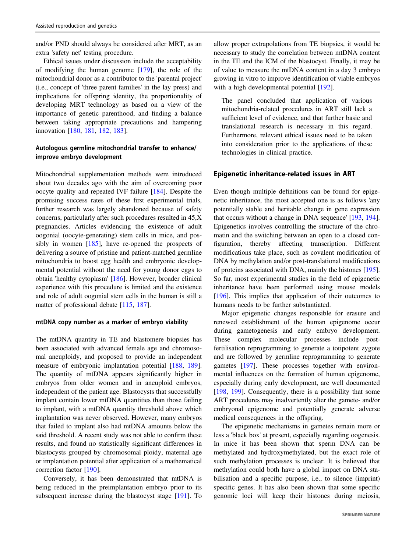and/or PND should always be considered after MRT, as an extra 'safety net' testing procedure.

Ethical issues under discussion include the acceptability of modifying the human genome [\[179](#page-20-0)], the role of the mitochondrial donor as a contributor to the 'parental project' (i.e., concept of 'three parent families' in the lay press) and implications for offspring identity, the proportionality of developing MRT technology as based on a view of the importance of genetic parenthood, and finding a balance between taking appropriate precautions and hampering innovation [[180,](#page-20-0) [181,](#page-20-0) [182,](#page-20-0) [183](#page-20-0)].

# Autologous germline mitochondrial transfer to enhance/ improve embryo development

Mitochondrial supplementation methods were introduced about two decades ago with the aim of overcoming poor oocyte quality and repeated IVF failure [[184\]](#page-20-0). Despite the promising success rates of these first experimental trials, further research was largely abandoned because of safety concerns, particularly after such procedures resulted in 45,X pregnancies. Articles evidencing the existence of adult oogonial (oocyte-generating) stem cells in mice, and possibly in women [\[185](#page-20-0)], have re-opened the prospects of delivering a source of pristine and patient-matched germline mitochondria to boost egg health and embryonic developmental potential without the need for young donor eggs to obtain 'healthy cytoplasm' [\[186](#page-20-0)]. However, broader clinical experience with this procedure is limited and the existence and role of adult oogonial stem cells in the human is still a matter of professional debate [[115,](#page-18-0) [187\]](#page-20-0).

#### mtDNA copy number as a marker of embryo viability

The mtDNA quantity in TE and blastomere biopsies has been associated with advanced female age and chromosomal aneuploidy, and proposed to provide an independent measure of embryonic implantation potential [\[188](#page-20-0), [189](#page-20-0)]. The quantity of mtDNA appears significantly higher in embryos from older women and in aneuploid embryos, independent of the patient age. Blastocysts that successfully implant contain lower mtDNA quantities than those failing to implant, with a mtDNA quantity threshold above which implantation was never observed. However, many embryos that failed to implant also had mtDNA amounts below the said threshold. A recent study was not able to confirm these results, and found no statistically significant differences in blastocysts grouped by chromosomal ploidy, maternal age or implantation potential after application of a mathematical correction factor [[190\]](#page-20-0).

Conversely, it has been demonstrated that mtDNA is being reduced in the preimplantation embryo prior to its subsequent increase during the blastocyst stage [\[191](#page-20-0)]. To

allow proper extrapolations from TE biopsies, it would be necessary to study the correlation between mtDNA content in the TE and the ICM of the blastocyst. Finally, it may be of value to measure the mtDNA content in a day 3 embryo growing in vitro to improve identification of viable embryos with a high developmental potential [\[192](#page-20-0)].

The panel concluded that application of various mitochondria-related procedures in ART still lack a sufficient level of evidence, and that further basic and translational research is necessary in this regard. Furthermore, relevant ethical issues need to be taken into consideration prior to the applications of these technologies in clinical practice.

#### Epigenetic inheritance-related issues in ART

Even though multiple definitions can be found for epigenetic inheritance, the most accepted one is as follows 'any potentially stable and heritable change in gene expression that occurs without a change in DNA sequence' [\[193](#page-20-0), [194\]](#page-20-0). Epigenetics involves controlling the structure of the chromatin and the switching between an open to a closed configuration, thereby affecting transcription. Different modifications take place, such as covalent modification of DNA by methylation and/or post-translational modifications of proteins associated with DNA, mainly the histones [[195\]](#page-20-0). So far, most experimental studies in the field of epigenetic inheritance have been performed using mouse models [\[196](#page-20-0)]. This implies that application of their outcomes to humans needs to be further substantiated.

Major epigenetic changes responsible for erasure and renewed establishment of the human epigenome occur during gametogenesis and early embryo development. These complex molecular processes include postfertilisation reprogramming to generate a totipotent zygote and are followed by germline reprogramming to generate gametes [[197\]](#page-20-0). These processes together with environmental influences on the formation of human epigenome, especially during early development, are well documented [\[198](#page-20-0), [199\]](#page-20-0). Consequently, there is a possibility that some ART procedures may inadvertently alter the gamete- and/or embryonal epigenome and potentially generate adverse medical consequences in the offspring.

The epigenetic mechanisms in gametes remain more or less a 'black box' at present, especially regarding oogenesis. In mice it has been shown that sperm DNA can be methylated and hydroxymethylated, but the exact role of such methylation processes is unclear. It is believed that methylation could both have a global impact on DNA stabilisation and a specific purpose, i.e., to silence (imprint) specific genes. It has also been shown that some specific genomic loci will keep their histones during meiosis,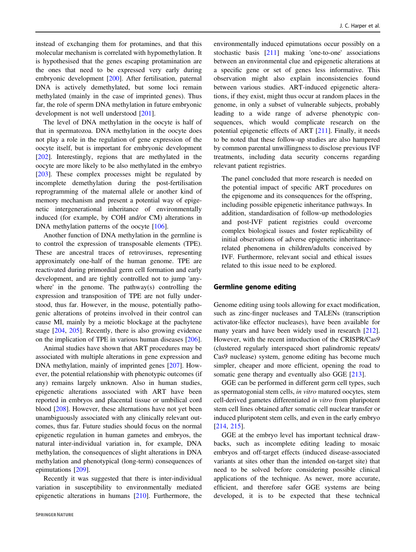instead of exchanging them for protamines, and that this molecular mechanism is correlated with hypomethylation. It is hypothesised that the genes escaping protamination are the ones that need to be expressed very early during embryonic development [[200\]](#page-20-0). After fertilisation, paternal DNA is actively demethylated, but some loci remain methylated (mainly in the case of imprinted genes). Thus far, the role of sperm DNA methylation in future embryonic development is not well understood [\[201](#page-20-0)].

The level of DNA methylation in the oocyte is half of that in spermatozoa. DNA methylation in the oocyte does not play a role in the regulation of gene expression of the oocyte itself, but is important for embryonic development [\[202](#page-20-0)]. Interestingly, regions that are methylated in the oocyte are more likely to be also methylated in the embryo [\[203](#page-20-0)]. These complex processes might be regulated by incomplete demethylation during the post-fertilisation reprogramming of the maternal allele or another kind of memory mechanism and present a potential way of epigenetic intergenerational inheritance of environmentally induced (for example, by COH and/or CM) alterations in DNA methylation patterns of the oocyte [[106\]](#page-18-0).

Another function of DNA methylation in the germline is to control the expression of transposable elements (TPE). These are ancestral traces of retroviruses, representing approximately one-half of the human genome. TPE are reactivated during primordial germ cell formation and early development, and are tightly controlled not to jump 'anywhere' in the genome. The pathway(s) controlling the expression and transposition of TPE are not fully understood, thus far. However, in the mouse, potentially pathogenic alterations of proteins involved in their control can cause MI, mainly by a meiotic blockage at the pachytene stage [\[204](#page-20-0), [205](#page-20-0)]. Recently, there is also growing evidence on the implication of TPE in various human diseases [\[206](#page-20-0)].

Animal studies have shown that ART procedures may be associated with multiple alterations in gene expression and DNA methylation, mainly of imprinted genes [\[207](#page-20-0)]. However, the potential relationship with phenotypic outcomes (if any) remains largely unknown. Also in human studies, epigenetic alterations associated with ART have been reported in embryos and placental tissue or umbilical cord blood [[208\]](#page-20-0). However, these alternations have not yet been unambiguously associated with any clinically relevant outcomes, thus far. Future studies should focus on the normal epigenetic regulation in human gametes and embryos, the natural inter-individual variation in, for example, DNA methylation, the consequences of slight alterations in DNA methylation and phenotypical (long-term) consequences of epimutations [[209\]](#page-20-0).

Recently it was suggested that there is inter-individual variation in susceptibility to environmentally mediated epigenetic alterations in humans [[210](#page-20-0)]. Furthermore, the environmentally induced epimutations occur possibly on a stochastic basis [[211\]](#page-20-0) making 'one-to-one' associations between an environmental clue and epigenetic alterations at a specific gene or set of genes less informative. This observation might also explain inconsistencies found between various studies. ART-induced epigenetic alterations, if they exist, might thus occur at random places in the genome, in only a subset of vulnerable subjects, probably leading to a wide range of adverse phenotypic consequences, which would complicate research on the potential epigenetic effects of ART [\[211](#page-20-0)]. Finally, it needs to be noted that these follow-up studies are also hampered by common parental unwillingness to disclose previous IVF treatments, including data security concerns regarding relevant patient registries.

The panel concluded that more research is needed on the potential impact of specific ART procedures on the epigenome and its consequences for the offspring, including possible epigenetic inheritance pathways. In addition, standardisation of follow-up methodologies and post-IVF patient registries could overcome complex biological issues and foster replicability of initial observations of adverse epigenetic inheritancerelated phenomena in children/adults conceived by IVF. Furthermore, relevant social and ethical issues related to this issue need to be explored.

#### Germline genome editing

Genome editing using tools allowing for exact modification, such as zinc-finger nucleases and TALENs (transcription activator-like effector nucleases), have been available for many years and have been widely used in research [[212\]](#page-20-0). However, with the recent introduction of the CRISPR/Cas9 (clustered regularly interspaced short palindromic repeats/ Cas9 nuclease) system, genome editing has become much simpler, cheaper and more efficient, opening the road to somatic gene therapy and eventually also GGE [\[213](#page-20-0)].

GGE can be performed in different germ cell types, such as spermatogonial stem cells, in vitro matured oocytes, stem cell-derived gametes differentiated in vitro from pluripotent stem cell lines obtained after somatic cell nuclear transfer or induced pluripotent stem cells, and even in the early embryo [\[214](#page-20-0), [215](#page-20-0)].

GGE at the embryo level has important technical drawbacks, such as incomplete editing leading to mosaic embryos and off-target effects (induced disease-associated variants at sites other than the intended on-target site) that need to be solved before considering possible clinical applications of the technique. As newer, more accurate, efficient, and therefore safer GGE systems are being developed, it is to be expected that these technical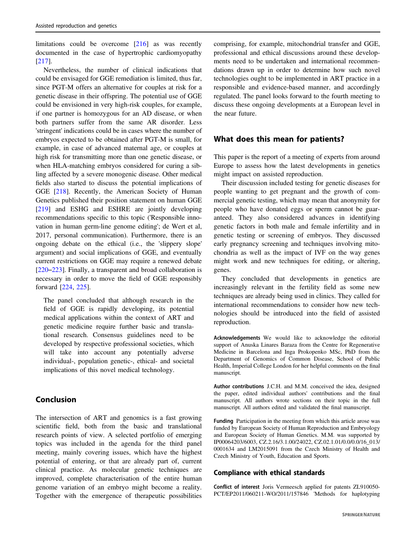limitations could be overcome [[216\]](#page-20-0) as was recently documented in the case of hypertrophic cardiomyopathy [\[217](#page-20-0)].

Nevertheless, the number of clinical indications that could be envisaged for GGE remediation is limited, thus far, since PGT-M offers an alternative for couples at risk for a genetic disease in their offspring. The potential use of GGE could be envisioned in very high-risk couples, for example, if one partner is homozygous for an AD disease, or when both partners suffer from the same AR disorder. Less 'stringent' indications could be in cases where the number of embryos expected to be obtained after PGT-M is small, for example, in case of advanced maternal age, or couples at high risk for transmitting more than one genetic disease, or when HLA-matching embryos considered for curing a sibling affected by a severe monogenic disease. Other medical fields also started to discuss the potential implications of GGE [\[218](#page-20-0)]. Recently, the American Society of Human Genetics published their position statement on human GGE [\[219](#page-20-0)] and ESHG and ESHRE are jointly developing recommendations specific to this topic ('Responsible innovation in human germ-line genome editing'; de Wert et al, 2017, personal communication). Furthermore, there is an ongoing debate on the ethical (i.e., the 'slippery slope' argument) and social implications of GGE, and eventually current restrictions on GGE may require a renewed debate [\[220](#page-21-0)–[223](#page-21-0)]. Finally, a transparent and broad collaboration is necessary in order to move the field of GGE responsibly forward [[224,](#page-21-0) [225](#page-21-0)].

The panel concluded that although research in the field of GGE is rapidly developing, its potential medical applications within the context of ART and genetic medicine require further basic and translational research. Consensus guidelines need to be developed by respective professional societies, which will take into account any potentially adverse individual-, population genetic-, ethical- and societal implications of this novel medical technology.

# Conclusion

The intersection of ART and genomics is a fast growing scientific field, both from the basic and translational research points of view. A selected portfolio of emerging topics was included in the agenda for the third panel meeting, mainly covering issues, which have the highest potential of entering, or that are already part of, current clinical practice. As molecular genetic techniques are improved, complete characterisation of the entire human genome variation of an embryo might become a reality. Together with the emergence of therapeutic possibilities comprising, for example, mitochondrial transfer and GGE, professional and ethical discussions around these developments need to be undertaken and international recommendations drawn up in order to determine how such novel technologies ought to be implemented in ART practice in a responsible and evidence-based manner, and accordingly regulated. The panel looks forward to the fourth meeting to discuss these ongoing developments at a European level in the near future.

# What does this mean for patients?

This paper is the report of a meeting of experts from around Europe to assess how the latest developments in genetics might impact on assisted reproduction.

Their discussion included testing for genetic diseases for people wanting to get pregnant and the growth of commercial genetic testing, which may mean that anonymity for people who have donated eggs or sperm cannot be guaranteed. They also considered advances in identifying genetic factors in both male and female infertility and in genetic testing or screening of embryos. They discussed early pregnancy screening and techniques involving mitochondria as well as the impact of IVF on the way genes might work and new techniques for editing, or altering, genes.

They concluded that developments in genetics are increasingly relevant in the fertility field as some new techniques are already being used in clinics. They called for international recommendations to consider how new technologies should be introduced into the field of assisted reproduction.

Acknowledgements We would like to acknowledge the editorial support of Anuska Linares Baraza from the Centre for Regenerative Medicine in Barcelona and Inga Prokopenko MSc, PhD from the Department of Genomics of Common Disease, School of Public Health, Imperial College London for her helpful comments on the final manuscript.

Author contributions J.C.H. and M.M. conceived the idea, designed the paper, edited individual authors' contributions and the final manuscript. All authors wrote sections on their topic in the full manuscript. All authors edited and validated the final manuscript.

Funding Participation in the meeting from which this article arose was funded by European Society of Human Reproduction and Embryology and European Society of Human Genetics. M.M. was supported by IP00064203/6003, CZ.2.16/3.1.00/24022, CZ.02.1.01/0.0/0.0/16\_013/ 0001634 and LM2015091 from the Czech Ministry of Health and Czech Ministry of Youth, Education and Sports.

## Compliance with ethical standards

Conflict of interest Joris Vermeesch applied for patents ZL910050- PCT/EP2011/060211-WO/2011/157846 'Methods for haplotyping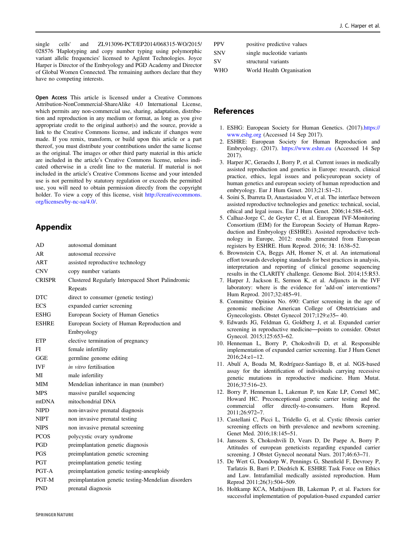<span id="page-15-0"></span>single cells' and ZL913096-PCT/EP2014/068315-WO/2015/ 028576 'Haplotyping and copy number typing using polymorphic variant allelic frequencies' licensed to Agilent Technologies. Joyce Harper is Director of the Embryology and PGD Academy and Director of Global Women Connected. The remaining authors declare that they have no competing interests.

Open Access This article is licensed under a Creative Commons Attribution-NonCommercial-ShareAlike 4.0 International License, which permits any non-commercial use, sharing, adaptation, distribution and reproduction in any medium or format, as long as you give appropriate credit to the original author(s) and the source, provide a link to the Creative Commons license, and indicate if changes were made. If you remix, transform, or build upon this article or a part thereof, you must distribute your contributions under the same license as the original. The images or other third party material in this article are included in the article's Creative Commons license, unless indicated otherwise in a credit line to the material. If material is not included in the article's Creative Commons license and your intended use is not permitted by statutory regulation or exceeds the permitted use, you will need to obtain permission directly from the copyright holder. To view a copy of this license, visit [http://creativecommons.](http://creativecommons.org/licenses/by-nc-sa/4.0/) [org/licenses/by-nc-sa/4.0/](http://creativecommons.org/licenses/by-nc-sa/4.0/).

# Appendix

| AD            | autosomal dominant                                  |
|---------------|-----------------------------------------------------|
| AR            | autosomal recessive                                 |
| ART           | assisted reproductive technology                    |
| <b>CNV</b>    | copy number variants                                |
| <b>CRISPR</b> | Clustered Regularly Interspaced Short Palindromic   |
|               | Repeats                                             |
| <b>DTC</b>    | direct to consumer (genetic testing)                |
| <b>ECS</b>    | expanded carrier screening                          |
| <b>ESHG</b>   | European Society of Human Genetics                  |
| <b>ESHRE</b>  | European Society of Human Reproduction and          |
|               | Embryology                                          |
| ETP           | elective termination of pregnancy                   |
| FL            | female infertility                                  |
| GGE           | germline genome editing                             |
| <b>IVF</b>    | in vitro fertilisation                              |
| МI            | male infertility                                    |
| MIM           | Mendelian inheritance in man (number)               |
| <b>MPS</b>    | massive parallel sequencing                         |
| mtDNA         | mitochondrial DNA                                   |
| <b>NIPD</b>   | non-invasive prenatal diagnosis                     |
| <b>NIPT</b>   | non invasive prenatal testing                       |
| <b>NIPS</b>   | non invasive prenatal screening                     |
| <b>PCOS</b>   | polycystic ovary syndrome                           |
| <b>PGD</b>    | preimplantation genetic diagnosis                   |
| PGS           | preimplantation genetic screening                   |
| <b>PGT</b>    | preimplantation genetic testing                     |
| PGT-A         | preimplantation genetic testing-aneuploidy          |
| PGT-M         | preimplantation genetic testing-Mendelian disorders |
| <b>PND</b>    | prenatal diagnosis                                  |

| <b>PPV</b> | positive predictive values |
|------------|----------------------------|
| <b>SNV</b> | single nucleotide variants |
| SV         | structural variants        |

WHO World Health Organisation

# References

- 1. ESHG: European Society for Human Genetics. (2017)[.https://](https://www.eshg.org) [www.eshg.org](https://www.eshg.org) (Accessed 14 Sep 2017).
- 2. ESHRE: European Society for Human Reproduction and Embryology. (2017). <https://www.eshre.eu> (Accessed 14 Sep 2017).
- 3. Harper JC, Geraedts J, Borry P, et al. Current issues in medically assisted reproduction and genetics in Europe: research, clinical practice, ethics, legal issues and policyeuropean society of human genetics and european society of human reproduction and embryology. Eur J Hum Genet. 2013;21:S1–21.
- 4. Soini S, Ibarreta D, Anastasiadou V, et al. The interface between assisted reproductive technologies and genetics: technical, social, ethical and legal issues. Eur J Hum Genet. 2006;14:588–645.
- 5. Calhaz-Jorge C, de Geyter C, et al. European IVF-Monitoring Consortium (EIM) for the European Society of Human Reproduction and Embryology (ESHRE). Assisted reproductive technology in Europe, 2012: results generated from European registers by ESHRE. Hum Reprod. 2016; 31: 1638–52.
- 6. Brownstein CA, Beggs AH, Homer N, et al. An international effort towards developing standards for best practices in analysis, interpretation and reporting of clinical genome sequencing results in the CLARITY challenge. Genome Biol. 2014;15:R53.
- 7. Harper J, Jackson E, Sermon K, et al. Adjuncts in the IVF laboratory: where is the evidence for 'add-on' interventions? Hum Reprod. 2017;32:485–91.
- 8. Committee Opinion No. 690: Carrier screening in the age of genomic medicine American College of Obstetricians and Gynecologists. Obstet Gynecol 2017;129:e35– 40.
- 9. Edwards JG, Feldman G, Goldberg J, et al. Expanded carrier screening in reproductive medicine—points to consider. Obstet Gynecol. 2015;125:653–62.
- 10. Henneman L, Borry P, Chokoshvili D, et al. Responsible implementation of expanded carrier screening. Eur J Hum Genet 2016;24:e1–12.
- 11. Abulí A, Boada M, Rodríguez-Santiago B, et al. NGS-based assay for the identification of individuals carrying recessive genetic mutations in reproductive medicine. Hum Mutat. 2016;37:516–23.
- 12. Borry P, Henneman L, Lakeman P, ten Kate LP, Cornel MC, Howard HC. Preconceptional genetic carrier testing and the commercial offer directly-to-consumers. Hum Reprod. 2011;26:972–7.
- 13. Castellani C, Picci L, Tridello G, et al. Cystic fibrosis carrier screening effects on birth prevalence and newborn screening. Genet Med. 2016;18:145–51.
- 14. Janssens S, Chokoshvili D, Vears D, De Paepe A, Borry P. Attitudes of european geneticists regarding expanded carrier screening. J Obstet Gynecol neonatal Nurs. 2017;46:63–71.
- 15. De Wert G, Dondorp W, Pennings G, Shenfield F, Devroey P, Tarlatzis B, Barri P, Diedrich K. ESHRE Task Force on Ethics and Law. Intrafamilial medically assisted reproduction. Hum Reprod 2011;26(3):504–509.
- 16. Holtkamp KCA, Mathijssen IB, Lakeman P, et al. Factors for successful implementation of population-based expanded carrier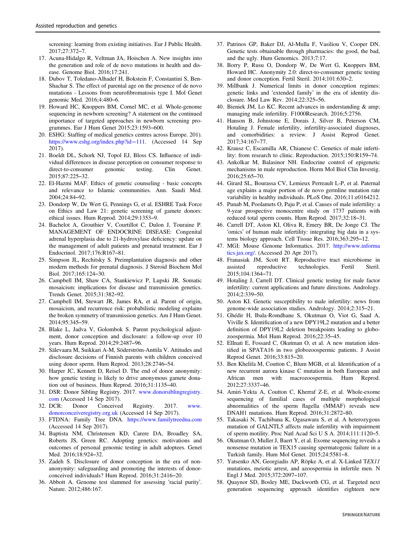<span id="page-16-0"></span>screening: learning from existing initiatives. Eur J Public Health. 2017;27:372–7.

- 17. Acuna-Hidalgo R, Veltman JA, Hoischen A. New insights into the generation and role of de novo mutations in health and disease. Genome Biol. 2016;17:241.
- 18. Dubov T, Toledano-Alhadef H, Bokstein F, Constantini S, Ben-Shachar S. The effect of parental age on the presence of de novo mutations - Lessons from neurofibromatosis type I. Mol Genet genomic Med. 2016;4:480–6.
- 19. Howard HC, Knoppers BM, Cornel MC, et al. Whole-genome sequencing in newborn screening? A statement on the continued importance of targeted approaches in newborn screening programmes. Eur J Hum Genet 2015;23:1593–600.
- 20. ESHG: Staffing of medical genetics centres across Europe. 201). [https://www.eshg.org/index.php?id](https://www.eshg.org/index.php?id=111.)=111. (Accessed 14 Sep 2017).
- 21. Boeldt DL, Schork NJ, Topol EJ, Bloss CS. Influence of individual differences in disease perception on consumer response to direct-to-consumer genomic testing. Clin Genet. 2015;87:225–32.
- 22. El-Hazmi MAF. Ethics of genetic counseling basic concepts and relevance to Islamic communities. Ann. Saudi Med. 2004;24:84–92.
- 23. Dondorp W, De Wert G, Pennings G, et al. ESHRE Task Force on Ethics and Law 21: genetic screening of gamete donors: ethical issues. Hum Reprod. 2014;29:1353–9.
- 24. Bachelot A, Grouthier V, Courtillot C, Dulon J, Touraine P. MANAGEMENT OF ENDOCRINE DISEASE: Congenital adrenal hyperplasia due to 21-hydroxylase deficiency: update on the management of adult patients and prenatal treatment. Eur J Endocrinol. 2017;176:R167–81.
- 25. Simpson JL, Rechitsky S. Preimplantation diagnosis and other modern methods for prenatal diagnosis. J Steroid Biochem Mol Biol. 2017;165:124–30.
- 26. Campbell IM, Shaw CA, Stankiewicz P, Lupski JR. Somatic mosaicism: implications for disease and transmission genetics. Trends Genet. 2015;31:382–92.
- 27. Campbell IM, Stewart JR, James RA, et al. Parent of origin, mosaicism, and recurrence risk: probabilistic modeling explains the broken symmetry of transmission genetics. Am J Hum Genet. 2014;95:345–59.
- 28. Blake L, Jadva V, Golombok S. Parent psychological adjustment, donor conception and disclosure: a follow-up over 10 years. Hum Reprod. 2014;29:2487–96.
- 29. Sälevaara M, Suikkari A-M, Söderström-Anttila V. Attitudes and disclosure decisions of Finnish parents with children conceived using donor sperm. Hum Reprod. 2013;28:2746–54.
- 30. Harper JC, Kennett D, Reisel D. The end of donor anonymity: how genetic testing is likely to drive anonymous gamete donation out of business. Hum Reprod. 2016;31:1135–40.
- 31. DSR: Donor Sibling Registry. 2017. [www.donorsiblingregistry.](http://www.donorsiblingregistry.com) [com](http://www.donorsiblingregistry.com) (Accessed 14 Sep 2017).
- 32. DCR: Donor Conceived Registry. 2017. [www.](http://www.donorconceiveregistry.org.uk) [donorconceiveregistry.org.uk](http://www.donorconceiveregistry.org.uk) (Accessed 14 Sep 2017).
- 33. FTDNA: Family Tree DNA. <https://www.familytreedna.com> (Accessed 14 Sep 2017).
- 34. Baptista NM, Christensen KD, Carere DA, Broadley SA, Roberts JS, Green RC. Adopting genetics: motivations and outcomes of personal genomic testing in adult adoptees. Genet Med. 2016;18:924–32.
- 35. Zadeh S. Disclosure of donor conception in the era of nonanonymity: safeguarding and promoting the interests of donorconceived individuals? Hum Reprod. 2016;31:2416–20.
- 36. Abbott A. Genome test slammed for assessing 'racial purity'. Nature. 2012;486:167.
- 37. Patrinos GP, Baker DJ, Al-Mulla F, Vasiliou V, Cooper DN. Genetic tests obtainable through pharmacies: the good, the bad, and the ugly. Hum Genomics. 2013;7:17.
- 38. Borry P, Rusu O, Dondorp W, De Wert G, Knoppers BM, Howard HC. Anonymity 2.0: direct-to-consumer genetic testing and donor conception. Fertil Steril. 2014;101:630–2.
- 39. Millbank J. Numerical limits in donor conception regimes: genetic links and 'extended family' in the era of identity disclosure. Med Law Rev. 2014;22:325–56.
- 40. Bieniek JM, Lo KC. Recent advances in understanding & amp; managing male infertility. F1000Research. 2016;5:2756.
- 41. Hanson B, Johnstone E, Dorais J, Silver B, Peterson CM, Hotaling J. Female infertility, infertility-associated diagnoses, and comorbidities: a review. J Assist Reprod Genet. 2017;34:167–77.
- 42. Krausz C, Escamilla AR, Chianese C. Genetics of male infertility: from research to clinic. Reproduction. 2015;150:R159–74.
- 43. Ankolkar M, Balasinor NH. Endocrine control of epigenetic mechanisms in male reproduction. Horm Mol Biol Clin Investig. 2016;25:65–70.
- 44. Girard SL, Bourassa CV, Lemieux Perreault L-P, et al. Paternal age explains a major portion of de novo germline mutation rate variability in healthy individuals. PLoS One. 2016;11:e0164212.
- 45. Punab M, Poolamets O, Paju P, et al. Causes of male infertility: a 9-year prospective monocentre study on 1737 patients with reduced total sperm counts. Hum Reprod. 2017;32:18–31.
- 46. Carrell DT, Aston KI, Oliva R, Emery BR, De Jonge CJ. The 'omics' of human male infertility: integrating big data in a systems biology approach. Cell Tissue Res. 2016;363:295–12.
- 47. MGI: Mouse Genome Informatics. 2017. [http://www.informa](http://www.informatics.jax.org/) [tics.jax.org/.](http://www.informatics.jax.org/) (Accessed 20 Apr 2017).
- 48. Franasiak JM, Scott RT. Reproductive tract microbiome in assisted reproductive technologies. Fertil Steril. 2015;104:1364–71.
- 49. Hotaling J, Carrell DT. Clinical genetic testing for male factor infertility: current applications and future directions. Andrology. 2014;2:339–50.
- 50. Aston KI. Genetic susceptibility to male infertility: news from genome-wide association studies. Andrology. 2014;2:315–21.
- 51. Ghédir H, Ibala-Romdhane S, Okutman O, Viot G, Saad A, Viville S. Identification of a new DPY19L2 mutation and a better definition of DPY19L2 deletion breakpoints leading to globozoospermia. Mol Hum Reprod. 2016;22:35–45.
- 52. ElInati E, Fossard C, Okutman O, et al. A new mutation identified in SPATA16 in two globozoospermic patients. J Assist Reprod Genet. 2016;33:815–20.
- 53. Ben Khelifa M, Coutton C, Blum MGB, et al. Identification of a new recurrent aurora kinase C mutation in both European and African men with macrozoospermia. Hum Reprod. 2012;27:3337–46.
- 54. Amiri-Yekta A, Coutton C, Kherraf Z-E, et al. Whole-exome sequencing of familial cases of multiple morphological abnormalities of the sperm flagella (MMAF) reveals new DNAH1 mutations. Hum Reprod. 2016;31:2872–80.
- 55. Takasaki N, Tachibana K, Ogasawara S, et al. A heterozygous mutation of GALNTL5 affects male infertility with impairment of sperm motility. Proc Natl Acad Sci U S A. 2014;111:1120–5.
- 56. Okutman O, Muller J, Baert Y, et al. Exome sequencing reveals a nonsense mutation in TEX15 causing spermatogenic failure in a Turkish family. Hum Mol Genet. 2015;24:5581–8.
- 57. Yatsenko AN, Georgiadis AP, Röpke A, et al. X-Linked TEX11 mutations, meiotic arrest, and azoospermia in infertile men. N Engl J Med. 2015;372:2097–107.
- 58. Quaynor SD, Bosley ME, Duckworth CG, et al. Targeted next generation sequencing approach identifies eighteen new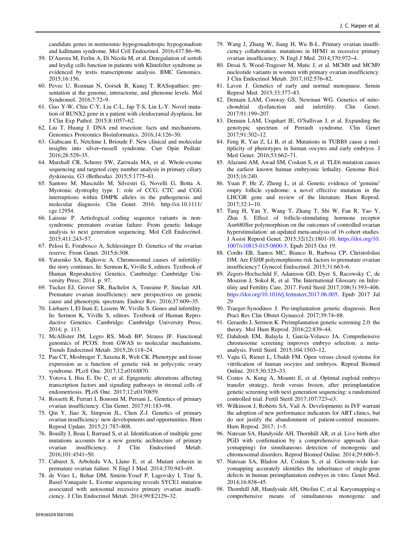<span id="page-17-0"></span>candidate genes in normosmic hypogonadotropic hypogonadism and kallmann syndrome. Mol Cell Endocrinol. 2016;437:86–96.

- 59. D'Aurora M, Ferlin A, Di Nicola M, et al. Deregulation of sertoli and leydig cells function in patients with Klinefelter syndrome as evidenced by testis transcriptome analysis. BMC Genomics. 2015;16:156.
- 60. Pevec U, Rozman N, Gorsek B, Kunej T. RASopathies: presentation at the genome, interactome, and phenome levels. Mol Syndromol. 2016;7:72–9.
- 61. Guo Y-W, Chiu C-Y, Liu C-L, Jap T-S, Lin L-Y. Novel mutation of RUNX2 gene in a patient with cleidocranial dysplasia. Int J Clin Exp Pathol. 2015;8:1057–62.
- 62. Liu T, Huang J. DNA end resection: facts and mechanisms. Genomics Proteomics Bioinformatics. 2016;14:126–30.
- 63. Giabicani E, Netchine I, Brioude F. New clinical and molecular insights into silver–russell syndrome. Curr Opin Pediatr. 2016;28:529–35.
- 64. Marshall CR, Scherer SW, Zariwala MA, et al. Whole-exome sequencing and targeted copy number analysis in primary ciliary dyskinesia. G3 (Bethesda). 2015;5:1775–81.
- 65. Santoro M, Masciullo M, Silvestri G, Novelli G, Botta A. Myotonic dystrophy type 1: role of CCG, CTC and CGG interruptions within DMPK alleles in the pathogenesis and molecular diagnosis. Clin Genet. 2016. http://oi:10.1111/ cge.12954.
- 66. Laissue P. Aetiological coding sequence variants in nonsyndromic premature ovarian failure: From genetic linkage analysis to next generation sequencing. Mol Cell Endocrinol. 2015;411:243–57.
- 67. Pelosi E, Forabosco A, Schlessinger D. Genetics of the ovarian reserve. Front Genet. 2015;6:308.
- 68. Yatsenko SA, Rajkovic A. Chromosomal causes of infertility: the story continues. In: Sermon K, Viville S, editors. Textbook of Human Reproductive Genetics. Cambridge: Cambridge University Press; 2014. p. 97.
- 69. Tucker EJ, Grover SR, Bachelot A, Touraine P, Sinclair AH. Premature ovarian insufficiency: new perspectives on genetic cause and phenotypic spectrum. Endocr Rev. 2016;37:609–35.
- 70. Liebaers I, El Inati E, Lissens W, Viville S. Genes and infertility. In: Sermon K, Viville S, editors. Textbook of Human Reproductive Genetics. Cambridge: Cambridge University Press; 2014; p. 113.
- 71. McAllister JM, Legro RS, Modi BP, Strauss JF. Functional genomics of PCOS: from GWAS to molecular mechanisms. Trends Endocrinol Metab. 2015;26:118–24.
- 72. Pau CT, Mosbruger T, Saxena R, Welt CK. Phenotype and tissue expression as a function of genetic risk in polycystic ovary syndrome. PLoS One. 2017;12:e0168870.
- 73. Yotova I, Hsu E, Do C, et al. Epigenetic alterations affecting transcription factors and signaling pathways in stromal cells of endometriosis. PLoS One. 2017;12:e0170859.
- 74. Rossetti R, Ferrari I, Bonomi M, Persani L. Genetics of primary ovarian insufficiency. Clin Genet. 2017;91:183–98.
- 75. Qin Y, Jiao X, Simpson JL, Chen Z-J. Genetics of primary ovarian insufficiency: new developments and opportunities. Hum Reprod Update. 2015;21:787–808.
- 76. Bouilly J, Beau I, Barraud S, et al. Identification of multiple gene mutations accounts for a new genetic architecture of primary ovarian insufficiency. J Clin Endocrinol Metab. 2016;101:4541–50.
- 77. Caburet S, Arboleda VA, Llano E, et al. Mutant cohesin in premature ovarian failure. N Engl J Med. 2014;370:943–49.
- 78. de Vries L, Behar DM, Smirin-Yosef P, Lagovsky I, Tzur S, Basel-Vanagaite L. Exome sequencing reveals SYCE1 mutation associated with autosomal recessive primary ovarian insufficiency. J Clin Endocrinol Metab. 2014;99:E2129–32.
- 79. Wang J, Zhang W, Jiang H, Wu B-L. Primary ovarian insufficiency collaboration. mutations in HFM1 in recessive primary ovarian insufficiency. N Engl J Med. 2014;370:972–4.
- 80. Desai S, Wood-Trageser M, Matic J, et al. MCM8 and MCM9 nucleotide variants in women with primary ovarian insufficiency. J Clin Endocrinol Metab. 2017;102:576–82.
- 81. Laven J. Genetics of early and normal menopause. Semin Reprod Med. 2015;33:377–83.
- 82. Demain LAM, Conway GS, Newman WG. Genetics of mitochondrial dysfunction and infertility. Clin Genet. 2017;91:199–207.
- 83. Demain LAM, Urquhart JE, O'Sullivan J, et al. Expanding the genotypic spectrum of Perrault syndrome. Clin Genet 2017;91:302–12.
- 84. Feng R, Yan Z, Li B, et al. Mutations in TUBB8 cause a multiplicity of phenotypes in human oocytes and early embryos. J Med Genet. 2016;53:662–71.
- 85. Alazami AM, Awad SM, Coskun S, et al. TLE6 mutation causes the earliest known human embryonic lethality. Genome Biol. 2015;16:240.
- 86. Yuan P, He Z, Zheng L, et al. Genetic evidence of 'genuine' empty follicle syndrome: a novel effective mutation in the LHCGR gene and review of the literature. Hum Reprod.  $2017.32 \cdot 1 - 10$
- 87. Tang H, Yan Y, Wang T, Zhang T, Shi W, Fan R, Yao Y, Zhai S. Effect of follicle-stimulating hormone receptor Asn680Ser polymorphism on the outcomes of controlled ovarian hyperstimulation: an updated meta-analysis of 16 cohort studies. J Assist Reprod Genet. 2015;32(12):1801-10. [https://doi.org/10.](http://dx.doi.org/10.1007/s10815-015-0600-5) [1007/s10815-015-0600-5.](http://dx.doi.org/10.1007/s10815-015-0600-5) Epub 2015 Oct 19.
- 88. Cordts EB, Santos MC, Bianco B, Barbosa CP, Christofolini DM. Are FSHR polymorphisms risk factors to premature ovarian insufficiency? Gynecol Endocrinol. 2015;31:663–6.
- 89. Zegers-Hochschild F, Adamson GD, Dyer S, Racowsky C, de Mouzon J, Sokol R, et al. The International Glossary on Infertility and Fertility Care, 2017. Fertil Steril 2017;108(3):393–406. [https://doi.org/10.1016/j.fertnstert.2017.06.005](http://dx.doi.org/10.1016/j.fertnstert.2017.06.005). Epub 2017 Jul 29
- 90. Traeger-Synodinos J. Pre-implantation genetic diagnosis. Best Pract Res Clin Obstet Gynaecol. 2017;39:74–88.
- 91. Geraedts J, Sermon K. Preimplantation genetic screening 2.0: the theory. Mol Hum Reprod. 2016;22:839–44.
- 92. Dahdouh EM, Balayla J, García-Velasco JA. Comprehensive chromosome screening improves embryo selection: a metaanalysis. Fertil Steril. 2015;104:1503–12.
- 93. Vajta G, Rienzi L, Ubaldi FM. Open versus closed systems for vitrification of human oocytes and embryos. Reprod Biomed Online. 2015;30:325–33.
- 94. Coates A, Kung A, Mounts E, et al. Optimal euploid embryo transfer strategy, fresh versus frozen, after preimplantation genetic screening with next generation sequencing: a randomized controlled trial. Fertil Steril 2017;107:723–e3.
- 95. Wilkinson J, Roberts SA, Vail A. Developments in IVF warrant the adoption of new performance indicators for ART clinics, but do not justify the abandonment of patient-centred measures. Hum Reprod. 2017; 1–5.
- 96. Natesan SA, Handyside AH, Thornhill AR, et al. Live birth after PGD with confirmation by a comprehensive approach (karyomapping) for simultaneous detection of monogenic and chromosomal disorders. Reprod Biomed Online. 2014;29:600–5.
- 97. Natesan SA, Bladon AJ, Coskun S, et al. Genome-wide karyomapping accurately identifies the inheritance of single-gene defects in human preimplantation embryos in vitro. Genet Med. 2014;16:838–45.
- 98. Thornhill AR, Handyside AH, Ottolini C, et al. Karyomapping-a comprehensive means of simultaneous monogenic and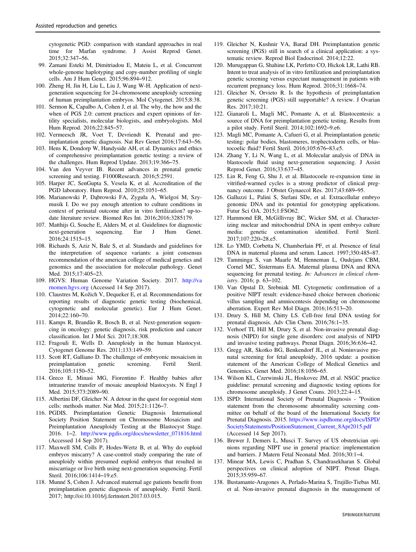<span id="page-18-0"></span>cytogenetic PGD: comparison with standard approaches in real time for Marfan syndrome. J Assist Reprod Genet. 2015;32:347–56.

- 99. Zamani Esteki M, Dimitriadou E, Mateiu L, et al. Concurrent whole-genome haplotyping and copy-number profiling of single cells. Am J Hum Genet. 2015;96:894–912.
- 100. Zheng H, Jin H, Liu L, Liu J, Wang W-H. Application of nextgeneration sequencing for 24-chromosome aneuploidy screening of human preimplantation embryos. Mol Cytogenet. 2015;8:38.
- 101. Sermon K, Capalbo A, Cohen J, et al. The why, the how and the when of PGS 2.0: current practices and expert opinions of fertility specialists, molecular biologists, and embryologists. Mol Hum Reprod. 2016;22:845–57.
- 102. Vermeesch JR, Voet T, Devriendt K. Prenatal and preimplantation genetic diagnosis. Nat Rev Genet 2016;17:643–56.
- 103. Hens K, Dondorp W, Handyside AH, et al. Dynamics and ethics of comprehensive preimplantation genetic testing: a review of the challenges. Hum Reprod Update. 2013;19:366–75.
- 104. Van den Veyver IB. Recent advances in prenatal genetic screening and testing. F1000Research. 2016;5:2591.
- 105. Harper JC, SenGupta S, Vesela K, et al. Accreditation of the PGD laboratory. Hum Reprod. 2010;25:1051–65.
- 106. Marianowski P, Dąbrowski FA, Zyguła A, Wielgoś M, Szymusik I. Do we pay enough attention to culture conditions in context of perinatal outcome after in vitro fertilization? up-todate literature review. Biomed Res Int. 2016;2016:3285179.
- 107. Matthijs G, Souche E, Alders M, et al. Guidelines for diagnostic next-generation sequencing. Eur J Hum Genet. next-generation sequencing. Eur J Hum Genet. 2016;24:1515–15.
- 108. Richards S, Aziz N, Bale S, et al. Standards and guidelines for the interpretation of sequence variants: a joint consensus recommendation of the american college of medical genetics and genomics and the association for molecular pathology. Genet Med. 2015;17:405–23.
- 109. HGVS: Human Genome Variation Society. 2017. [http://va](http://varnomen.hgvs.org) [rnomen.hgvs.org](http://varnomen.hgvs.org) (Accessed 14 Sep 2017).
- 110. Claustres M, Kožich V, Dequeker E, et al. Recommendations for reporting results of diagnostic genetic testing (biochemical, cytogenetic and molecular genetic). Eur J Hum Genet. 2014;22:160–70.
- 111. Kamps R, Brandão R, Bosch B, et al. Next-generation sequencing in oncology: genetic diagnosis, risk prediction and cancer classification. Int J Mol Sci. 2017;18:308.
- 112. Fragouli E, Wells D. Aneuploidy in the human blastocyst. Cytogenet Genome Res. 2011;133:149–59.
- 113. Scott RT, Galliano D. The challenge of embryonic mosaicism in preimplantation genetic screening. Fertil Steril. 2016;105:1150–52.
- 114. Greco E, Minasi MG, Fiorentino F. Healthy babies after intrauterine transfer of mosaic aneuploid blastocysts. N Engl J Med. 2015;373:2089–90.
- 115. Albertini DF, Gleicher N. A detour in the quest for oogonial stem cells: methods matter. Nat Med. 2015;21:1126–7.
- 116. PGDIS. Preimplantation Genetic Diagnosis International Society Position Statement on Chromosome Mosaicism and Preimplantation Aneuploidy Testing at the Blastocyst Stage. 2016. 1–2. [http://www.pgdis.org/docs/newsletter\\_071816.html](http://www.pgdis.org/docs/newsletter_071816.html) (Accessed 14 Sep 2017).
- 117. Maxwell SM, Colls P, Hodes-Wertz B, et al. Why do euploid embryos miscarry? A case-control study comparing the rate of aneuploidy within presumed euploid embryos that resulted in miscarriage or live birth using next-generation sequencing. Fertil Steril. 2016;106:1414–19.e5.
- 118. Munné S, Cohen J. Advanced maternal age patients benefit from preimplantation genetic diagnosis of aneuploidy. Fertil Steril. 2017; http://oi:10.1016/j.fertnstert.2017.03.015.
- 119. Gleicher N, Kushnir VA, Barad DH. Preimplantation genetic screening (PGS) still in search of a clinical application: a systematic review. Reprod Biol Endocrinol. 2014;12:22.
- 120. Murugappan G, Shahine LK, Perfetto CO, Hickok LR, Lathi RB. Intent to treat analysis of in vitro fertilization and preimplantation genetic screening versus expectant management in patients with recurrent pregnancy loss. Hum Reprod. 2016;31:1668–74.
- 121. Gleicher N, Orvieto R. Is the hypothesis of preimplantation genetic screening (PGS) still supportable? A review. J Ovarian Res. 2017;10:21.
- 122. Gianaroli L, Magli MC, Pomante A, et al. Blastocentesis: a source of DNA for preimplantation genetic testing. Results from a pilot study. Fertil Steril. 2014;102:1692–9.e6.
- 123. Magli MC, Pomante A, Cafueri G, et al. Preimplantation genetic testing: polar bodies, blastomeres, trophectoderm cells, or blastocoelic fluid? Fertil Steril. 2016;105:676–83.e5.
- 124. Zhang Y, Li N, Wang L, et al. Molecular analysis of DNA in blastocoele fluid using next-generation sequencing. J Assist Reprod Genet. 2016;33:637–45.
- 125. Lin R, Feng G, Shu J, et al. Blastocoele re-expansion time in vitrified-warmed cycles is a strong predictor of clinical pregnancy outcome. J Obstet Gynaecol Res. 2017;43:689–95.
- 126. Galluzzi L, Palini S, Stefani SDe, et al. Extracellular embryo genomic DNA and its potential for genotyping applications. Futur Sci OA. 2015;1:FSO62.
- 127. Hammond ER, McGillivray BC, Wicker SM, et al. Characterizing nuclear and mitochondrial DNA in spent embryo culture media: genetic contamination identified. Fertil Steril. 2017;107:220–28.e5.
- 128. Lo YMD, Corbetta N, Chamberlain PF, et al. Presence of fetal DNA in maternal plasma and serum. Lancet. 1997;350:485–87.
- 129. Tamminga S, van Maarle M, Henneman L, Oudejans CBM, Cornel MC, Sistermans EA. Maternal plasma DNA and RNA sequencing for prenatal testing. In: Advances in clinical chemistry. 2016; p. 63–102.
- 130. Van Opstal D, Srebniak MI. Cytogenetic confirmation of a positive NIPT result: evidence-based choice between chorionic villus sampling and amniocentesis depending on chromosome aberration. Expert Rev Mol Diagn. 2016;16:513–20.
- 131. Drury S, Hill M, Chitty LS. Cell-free fetal DNA testing for prenatal diagnosis. Adv Clin Chem. 2016;76:1–35.
- 132. Verhoef TI, Hill M, Drury S, et al. Non-invasive prenatal diagnosis (NIPD) for single gene disorders: cost analysis of NIPD and invasive testing pathways. Prenat Diagn. 2016;36:636–42.
- 133. Gregg AR, Skotko BG, Benkendorf JL, et al. Noninvasive prenatal screening for fetal aneuploidy, 2016 update: a position statement of the American College of Medical Genetics and Genomics. Genet Med. 2016;18:1056–65.
- 134. Wilson KL, Czerwinski JL, Hoskovec JM, et al. NSGC practice guideline: prenatal screening and diagnostic testing options for chromosome aneuploidy. J Genet Couns. 2013;22:4–15.
- 135. ISPD: International Society of Prenatal Diagnosis "Position statement from the chromosome abnormality screening committee on behalf of the board of the International Society for Prenatal Diagnosis. 2015. [https://www.ispdhome.org/docs/ISPD/](https://www.ispdhome.org/docs/ISPD/SocietyStatements/PositionStatement_Current_8Apr2015.pdf) [SocietyStatements/PositionStatement\\_Current\\_8Apr2015.pdf](https://www.ispdhome.org/docs/ISPD/SocietyStatements/PositionStatement_Current_8Apr2015.pdf) (Accessed 14 Sep 2017).
- 136. Brewer J, Demers L, Musci T. Survey of US obstetrician opinions regarding NIPT use in general practice: implementation and barriers. J Matern Fetal Neonatal Med. 2016;30:1–4.
- 137. Minear MA, Lewis C, Pradhan S, Chandrasekharan S. Global perspectives on clinical adoption of NIPT. Prenat Diagn. 2015;35:959–67.
- 138. Bustamante-Aragones A, Perlado-Marina S, Trujillo-Tiebas MJ, et al. Non-invasive prenatal diagnosis in the management of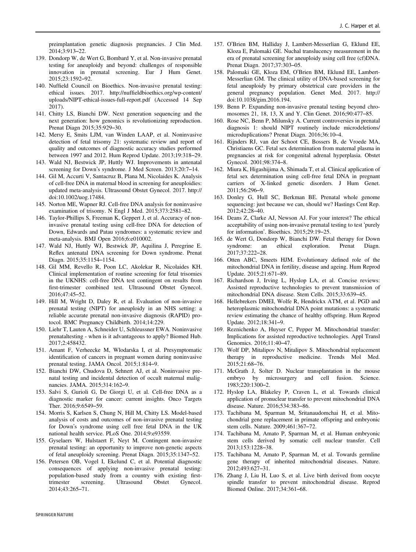<span id="page-19-0"></span>preimplantation genetic diagnosis pregnancies. J Clin Med. 2014;3:913–22.

- 139. Dondorp W, de Wert G, Bombard Y, et al. Non-invasive prenatal testing for aneuploidy and beyond: challenges of responsible innovation in prenatal screening. Eur J Hum Genet. 2015;23:1592–92.
- 140. Nuffield Council on Bioethics. Non-invasive prenatal testing: ethical issues. 2017. http://nuffieldbioethics.org/wp-content/ uploads/NIPT-ethical-issues-full-report.pdf (Accessed 14 Sep 2017).
- 141. Chitty LS, Bianchi DW. Next generation sequencing and the next generation: how genomics is revolutionizing reproduction. Prenat Diagn 2015;35:929–30.
- 142. Mersy E, Smits LJM, van Winden LAAP, et al. Noninvasive detection of fetal trisomy 21: systematic review and report of quality and outcomes of diagnostic accuracy studies performed between 1997 and 2012. Hum Reprod Update. 2013;19:318–29.
- 143. Wald NJ, Bestwick JP, Huttly WJ. Improvements in antenatal screening for Down's syndrome. J Med Screen. 2013;20:7–14.
- 144. Gil M, Accurti V, Santacruz B, Plana M, Nicolaides K. Analysis of cell-free DNA in maternal blood in screening for aneuploidies: updated meta-analysis. Ultrasound Obstet Gynecol. 2017. http:// doi:10.1002/uog.17484.
- 145. Norton ME, Wapner RJ. Cell-free DNA analysis for noninvasive examination of trisomy. N Engl J Med. 2015;373:2581–82.
- 146. Taylor-Phillips S, Freeman K, Geppert J, et al. Accuracy of noninvasive prenatal testing using cell-free DNA for detection of Down, Edwards and Patau syndromes: a systematic review and meta-analysis. BMJ Open 2016;6:e010002.
- 147. Wald NJ, Huttly WJ, Bestwick JP, Aquilina J, Peregrine E. Reflex antenatal DNA screening for Down syndrome. Prenat Diagn. 2015;35:1154–1154.
- 148. Gil MM, Revello R, Poon LC, Akolekar R, Nicolaides KH. Clinical implementation of routine screening for fetal trisomies in the UKNHS: cell-free DNA test contingent on results from first-trimester combined test. Ultrasound Obstet Gynecol. 2016;47:45–52.
- 149. Hill M, Wright D, Daley R, et al. Evaluation of non-invasive prenatal testing (NIPT) for aneuploidy in an NHS setting: a reliable accurate prenatal non-invasive diagnosis (RAPID) protocol. BMC Pregnancy Childbirth. 2014;14:229.
- 150. Liehr T, Lauten A, Schneider U, Schleussner EWA. Noninvasive prenataltesting - when is it advantageous to apply? Biomed Hub. 2017;2:458432.
- 151. Amant F, Verheecke M, Wlodarska I, et al. Presymptomatic identification of cancers in pregnant women during noninvasive prenatal testing. JAMA Oncol. 2015;1:814–9.
- 152. Bianchi DW, Chudova D, Sehnert AJ, et al. Noninvasive prenatal testing and incidental detection of occult maternal malignancies. JAMA. 2015;314:162–9.
- 153. Salvi S, Gurioli G, De Giorgi U, et al. Cell-free DNA as a diagnostic marker for cancer: current insights. Onco Targets Ther. 2016;9:6549–59.
- 154. Morris S, Karlsen S, Chung N, Hill M, Chitty LS. Model-based analysis of costs and outcomes of non-invasive prenatal testing for Down's syndrome using cell free fetal DNA in the UK national health service. PLoS One. 2014;9:e93559.
- 155. Gyselaers W, Hulstaert F, Neyt M. Contingent non-invasive prenatal testing: an opportunity to improve non-genetic aspects of fetal aneuploidy screening. Prenat Diagn. 2015;35:1347–52.
- 156. Petersen OB, Vogel I, Ekelund C, et al. Potential diagnostic consequences of applying non-invasive prenatal testing: population-based study from a country with existing firsttrimester screening. Ultrasound Obstet Gynecol. 2014;43:265–71.
- 157. O'Brien BM, Halliday J, Lambert-Messerlian G, Eklund EE, Kloza E, Palomaki GE. Nuchal translucency measurement in the era of prenatal screening for aneuploidy using cell free (cf)DNA. Prenat Diagn. 2017;37:303–05.
- 158. Palomaki GE, Kloza EM, O'Brien BM, Eklund EE, Lambert-Messerlian GM. The clinical utility of DNA-based screening for fetal aneuploidy by primary obstetrical care providers in the general pregnancy population. Genet Med. 2017. http:// doi:10.1038/gim.2016.194.
- 159. Benn P. Expanding non-invasive prenatal testing beyond chromosomes 21, 18, 13, X and Y. Clin Genet. 2016;90:477–85.
- 160. Rose NC, Benn P, Milunsky A. Current controversies in prenatal diagnosis 1: should NIPT routinely include microdeletions/ microduplications? Prenat Diagn. 2016;36:10–4.
- 161. Rijnders RJ, van der Schoot CE, Bossers B, de Vroede MA, Christiaens GC. Fetal sex determination from maternal plasma in pregnancies at risk for congenital adrenal hyperplasia. Obstet Gynecol. 2001;98:374–8.
- 162. Miura K, Higashijima A, Shimada T, et al. Clinical application of fetal sex determination using cell-free fetal DNA in pregnant carriers of X-linked genetic disorders. J Hum Genet. 2011;56:296–9.
- 163. Donley G, Hull SC, Berkman BE. Prenatal whole genome sequencing: just because we can, should we? Hastings Cent Rep. 2012;42:28–40.
- 164. Deans Z, Clarke AJ, Newson AJ. For your interest? The ethical acceptability of using non-invasive prenatal testing to test 'purely for information'. Bioethics. 2015;29:19–25.
- 165. de Wert G, Dondorp W, Bianchi DW. Fetal therapy for Down syndrome: an ethical exploration. Prenat Diagn. 2017;37:222–28.
- 166. Otten ABC, Smeets HJM. Evolutionary defined role of the mitochondrial DNA in fertility, disease and ageing. Hum Reprod Update. 2015;21:671–89.
- 167. Richardson J, Irving L, Hyslop LA, et al. Concise reviews: Assisted reproductive technologies to prevent transmission of mitochondrial DNA disease. Stem Cells. 2015;33:639–45.
- 168. Hellebrekers DMEI, Wolfe R, Hendrickx ATM, et al. PGD and heteroplasmic mitochondrial DNA point mutations: a systematic review estimating the chance of healthy offspring. Hum Reprod Update. 2012;18:341–9.
- 169. Reznichenko A, Huyser C, Pepper M. Mitochondrial transfer: Implications for assisted reproductive technologies. Appl Transl Genomics. 2016;11:40–47.
- 170. Wolf DP, Mitalipov N, Mitalipov S. Mitochondrial replacement therapy in reproductive medicine. Trends Mol Med. 2015;21:68–76.
- 171. McGrath J, Solter D. Nuclear transplantation in the mouse embryo by microsurgery and cell fusion. Science. 1983;220:1300–2.
- 172. Hyslop LA, Blakeley P, Craven L, et al. Towards clinical application of pronuclear transfer to prevent mitochondrial DNA disease. Nature. 2016;534:383–86.
- 173. Tachibana M, Sparman M, Sritanaudomchai H, et al. Mitochondrial gene replacement in primate offspring and embryonic stem cells. Nature. 2009;461:367–72.
- 174. Tachibana M, Amato P, Sparman M, et al. Human embryonic stem cells derived by somatic cell nuclear transfer. Cell 2013;153:1228–38.
- 175. Tachibana M, Amato P, Sparman M, et al. Towards germline gene therapy of inherited mitochondrial diseases. Nature. 2012;493:627–31.
- 176. Zhang J, Liu H, Luo S, et al. Live birth derived from oocyte spindle transfer to prevent mitochondrial disease. Reprod Biomed Online. 2017;34:361–68.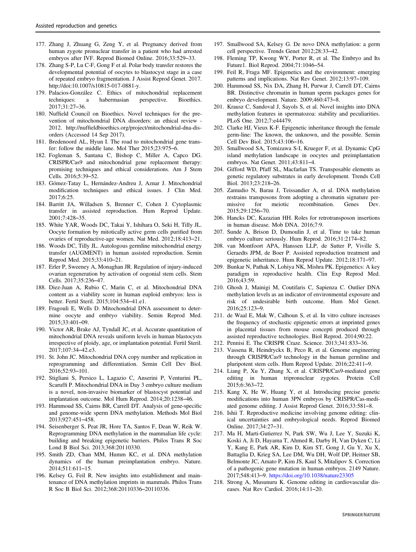- <span id="page-20-0"></span>177. Zhang J, Zhuang G, Zeng Y, et al. Pregnancy derived from human zygote pronuclear transfer in a patient who had arrested embryos after IVF. Reprod Biomed Online. 2016;33:529–33.
- 178. Zhang S-P, Lu C-F, Gong F et al. Polar body transfer restores the developmental potential of oocytes to blastocyst stage in a case of repeated embryo fragmentation. J Assist Reprod Genet. 2017. http://doi:10.1007/s10815-017-0881-y.
- 179. Palacios-González C. Ethics of mitochondrial replacement techniques: a habermasian perspective. Bioethics. 2017;31:27–36.
- 180. Nuffield Council on Bioethics. Novel techniques for the prevention of mitochondrial DNA disorders: an ethical review - 2012. http://nuffieldbioethics.org/project/mitochondrial-dna-disorders (Accessed 14 Sep 2017).
- 181. Bredenoord AL, Hyun I. The road to mitochondrial gene transfer: follow the middle lane. Mol Ther 2015;23:975–6.
- 182. Fogleman S, Santana C, Bishop C, Miller A, Capco DG. CRISPR/Cas9 and mitochondrial gene replacement therapy: promising techniques and ethical considerations. Am J Stem Cells. 2016;5:39–52.
- 183. Gómez-Tatay L, Hernández-Andreu J, Aznar J. Mitochondrial modification techniques and ethical issues. J Clin Med. 2017;6:25.
- 184. Barritt JA, Willadsen S, Brenner C, Cohen J. Cytoplasmic transfer in assisted reproduction. Hum Reprod Update. 2001;7:428–35.
- 185. White YAR, Woods DC, Takai Y, Ishihara O, Seki H, Tilly JL. Oocyte formation by mitotically active germ cells purified from ovaries of reproductive-age women. Nat Med. 2012;18:413–21.
- 186. Woods DC, Tilly JL. Autologous germline mitochondrial energy transfer (AUGMENT) in human assisted reproduction. Semin Reprod Med. 2015;33:410–21.
- 187. Erler P, Sweeney A, Monaghan JR. Regulation of injury-induced ovarian regeneration by activation of oogonial stem cells. Stem Cells. 2017;35:236–47.
- 188. Diez-Juan A, Rubio C, Marin C, et al. Mitochondrial DNA content as a viability score in human euploid embryos: less is better. Fertil Steril. 2015;104:534–41.e1.
- 189. Fragouli E, Wells D. Mitochondrial DNA assessment to determine oocyte and embryo viability. Semin Reprod Med. 2015;33:401–09.
- 190. Victor AR, Brake AJ, Tyndall JC, et al. Accurate quantitation of mitochondrial DNA reveals uniform levels in human blastocysts irrespective of ploidy, age, or implantation potential. Fertil Steril. 2017;107:34–42.e3.
- 191. St. John JC. Mitochondrial DNA copy number and replication in reprogramming and differentiation. Semin Cell Dev Biol. 2016;52:93–101.
- 192. Stigliani S, Persico L, Lagazio C, Anserini P, Venturini PL, Scaruffi P. Mitochondrial DNA in Day 3 embryo culture medium is a novel, non-invasive biomarker of blastocyst potential and implantation outcome. Mol Hum Reprod. 2014;20:1238–46.
- 193. Hammoud SS, Cairns BR, Carrell DT. Analysis of gene-specific and genome-wide sperm DNA methylation. Methods Mol Biol 2013;927:451–458.
- 194. Seisenberger S, Peat JR, Hore TA, Santos F, Dean W, Reik W. Reprogramming DNA methylation in the mammalian life cycle: building and breaking epigenetic barriers. Philos Trans R Soc Lond B Biol Sci. 2013;368:20110330.
- 195. Smith ZD, Chan MM, Humm KC, et al. DNA methylation dynamics of the human preimplantation embryo. Nature. 2014;511:611–15.
- 196. Kelsey G, Feil R. New insights into establishment and maintenance of DNA methylation imprints in mammals. Philos Trans R Soc B Biol Sci. 2012;368:20110336–20110336.
- 197. Smallwood SA, Kelsey G. De novo DNA methylation: a germ cell perspective. Trends Genet 2012;28:33–42.
- 198. Fleming TP, Kwong WY, Porter R, et al. The Embryo and Its Future1. Biol Reprod. 2004;71:1046–54.
- 199. Feil R, Fraga MF. Epigenetics and the environment: emerging patterns and implications. Nat Rev Genet. 2012;13:97–109.
- 200. Hammoud SS, Nix DA, Zhang H, Purwar J, Carrell DT, Cairns BR. Distinctive chromatin in human sperm packages genes for embryo development. Nature. 2009;460:473–8.
- 201. Krausz C, Sandoval J, Sayols S, et al. Novel insights into DNA methylation features in spermatozoa: stability and peculiarities. PLoS One. 2012;7:e44479.
- 202. Clarke HJ, Vieux K-F. Epigenetic inheritance through the female germ-line: The known, the unknown, and the possible. Semin Cell Dev Biol. 2015;43:106–16.
- 203. Smallwood SA, Tomizawa S-I, Krueger F, et al. Dynamic CpG island methylation landscape in oocytes and preimplantation embryos. Nat Genet. 2011;43:811–4.
- 204. Gifford WD, Pfaff SL, Macfarlan TS. Transposable elements as genetic regulatory substrates in early development. Trends Cell Biol. 2013;23:218–26.
- 205. Zamudio N, Barau J, Teissandier A, et al. DNA methylation restrains transposons from adopting a chromatin signature permissive for meiotic recombination. Genes Dev. 2015;29:1256–70.
- 206. Hancks DC, Kazazian HH. Roles for retrotransposon insertions in human disease. Mob DNA. 2016;7:9.
- 207. Sunde A, Brison D, Dumoulin J, et al. Time to take human embryo culture seriously. Hum Reprod. 2016;31:2174–82.
- 208. van Montfoort APA, Hanssen LLP, de Sutter P, Viville S, Geraedts JPM, de Boer P. Assisted reproduction treatment and epigenetic inheritance. Hum Reprod Update. 2012;18:171–97.
- 209. Bunkar N, Pathak N, Lohiya NK, Mishra PK. Epigenetics: A key paradigm in reproductive health. Clin Exp Reprod Med. 2016;43:59.
- 210. Ghosh J, Mainigi M, Coutifaris C, Sapienza C. Outlier DNA methylation levels as an indicator of environmental exposure and risk of undesirable birth outcome. Hum Mol Genet. 2016;25:123–9.
- 211. de Waal E, Mak W, Calhoun S, et al. In vitro culture increases the frequency of stochastic epigenetic errors at imprinted genes in placental tissues from mouse concepti produced through assisted reproductive technologies. Biol Reprod. 2014;90:22.
- 212. Pennisi E. The CRISPR Craze. Science. 2013;341:833–36.
- 213. Vassena R, Heindryckx B, Peco R, et al. Genome engineering through CRISPR/Cas9 technology in the human germline and pluripotent stem cells. Hum Reprod Update. 2016;22:411–9.
- 214. Liang P, Xu Y, Zhang X, et al. CRISPR/Cas9-mediated gene editing in human tripronuclear zygotes. Protein Cell 2015;6:363–72.
- 215. Kang X, He W, Huang Y, et al. Introducing precise genetic modifications into human 3PN embryos by CRISPR/Cas-mediated genome editing. J Assist Reprod Genet. 2016;33:581–8.
- 216. Ishii T. Reproductive medicine involving genome editing: clinical uncertainties and embryological needs. Reprod Biomed Online. 2017;34:27–31.
- 217. Ma H, Marti-Gutierrez N, Park SW, Wu J, Lee Y, Suzuki K, Koski A, Ji D, Hayama T, Ahmed R, Darby H, Van Dyken C, Li Y, Kang E, Park AR, Kim D, Kim ST, Gong J, Gu Y, Xu X, Battaglia D, Krieg SA, Lee DM, Wu DH, Wolf DP, Heitner SB, Belmonte JC, Amato P, Kim JS, Kaul S, Mitalipov S. Correction of a pathogenic gene mutation in human embryos. 2149 Nature. 2017;548:413–9. [https://doi.org/10.1038/nature23305](http://dx.doi.org/10.1038/nature23305)
- 218. Strong A, Musunuru K. Genome editing in cardiovascular diseases. Nat Rev Cardiol. 2016;14:11–20.